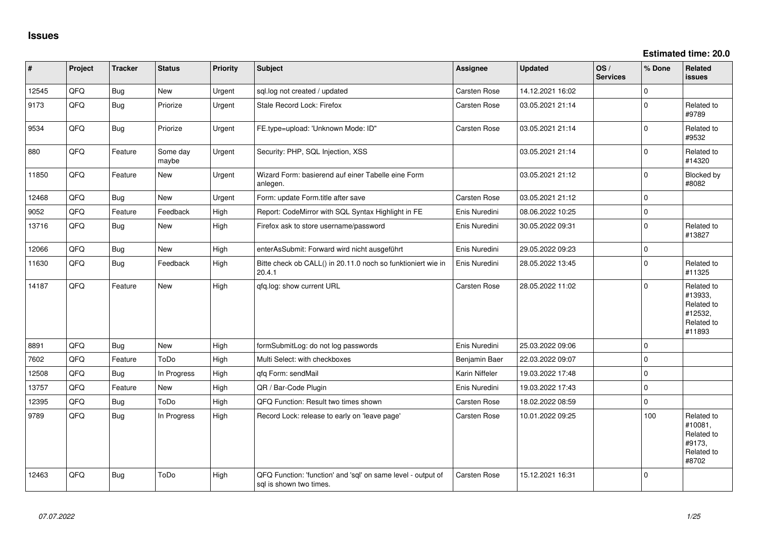**Estimated time: 20.0**

| #     | Project | <b>Tracker</b> | <b>Status</b>     | <b>Priority</b> | <b>Subject</b>                                                                          | <b>Assignee</b> | <b>Updated</b>   | OS/<br><b>Services</b> | % Done              | Related<br><b>issues</b>                                               |
|-------|---------|----------------|-------------------|-----------------|-----------------------------------------------------------------------------------------|-----------------|------------------|------------------------|---------------------|------------------------------------------------------------------------|
| 12545 | QFQ     | Bug            | New               | Urgent          | sql.log not created / updated                                                           | Carsten Rose    | 14.12.2021 16:02 |                        | $\Omega$            |                                                                        |
| 9173  | QFQ     | <b>Bug</b>     | Priorize          | Urgent          | Stale Record Lock: Firefox                                                              | Carsten Rose    | 03.05.2021 21:14 |                        | $\Omega$            | Related to<br>#9789                                                    |
| 9534  | QFQ     | Bug            | Priorize          | Urgent          | FE.type=upload: 'Unknown Mode: ID"                                                      | Carsten Rose    | 03.05.2021 21:14 |                        | $\Omega$            | Related to<br>#9532                                                    |
| 880   | QFQ     | Feature        | Some day<br>maybe | Urgent          | Security: PHP, SQL Injection, XSS                                                       |                 | 03.05.2021 21:14 |                        | $\Omega$            | Related to<br>#14320                                                   |
| 11850 | QFQ     | Feature        | <b>New</b>        | Urgent          | Wizard Form: basierend auf einer Tabelle eine Form<br>anlegen.                          |                 | 03.05.2021 21:12 |                        | $\mathbf 0$         | Blocked by<br>#8082                                                    |
| 12468 | QFQ     | Bug            | <b>New</b>        | Urgent          | Form: update Form.title after save                                                      | Carsten Rose    | 03.05.2021 21:12 |                        | $\mathbf 0$         |                                                                        |
| 9052  | QFQ     | Feature        | Feedback          | High            | Report: CodeMirror with SQL Syntax Highlight in FE                                      | Enis Nuredini   | 08.06.2022 10:25 |                        | $\mathbf 0$         |                                                                        |
| 13716 | QFQ     | Bug            | New               | High            | Firefox ask to store username/password                                                  | Enis Nuredini   | 30.05.2022 09:31 |                        | $\mathbf 0$         | Related to<br>#13827                                                   |
| 12066 | QFQ     | Bug            | New               | High            | enterAsSubmit: Forward wird nicht ausgeführt                                            | Enis Nuredini   | 29.05.2022 09:23 |                        | $\mathbf 0$         |                                                                        |
| 11630 | QFQ     | <b>Bug</b>     | Feedback          | High            | Bitte check ob CALL() in 20.11.0 noch so funktioniert wie in<br>20.4.1                  | Enis Nuredini   | 28.05.2022 13:45 |                        | $\Omega$            | Related to<br>#11325                                                   |
| 14187 | QFQ     | Feature        | New               | High            | qfq.log: show current URL                                                               | Carsten Rose    | 28.05.2022 11:02 |                        | $\Omega$            | Related to<br>#13933,<br>Related to<br>#12532,<br>Related to<br>#11893 |
| 8891  | QFQ     | Bug            | New               | High            | formSubmitLog: do not log passwords                                                     | Enis Nuredini   | 25.03.2022 09:06 |                        | $\mathbf 0$         |                                                                        |
| 7602  | QFQ     | Feature        | ToDo              | High            | Multi Select: with checkboxes                                                           | Benjamin Baer   | 22.03.2022 09:07 |                        | $\mathbf 0$         |                                                                        |
| 12508 | QFQ     | Bug            | In Progress       | High            | qfq Form: sendMail                                                                      | Karin Niffeler  | 19.03.2022 17:48 |                        | $\mathbf 0$         |                                                                        |
| 13757 | QFQ     | Feature        | New               | High            | QR / Bar-Code Plugin                                                                    | Enis Nuredini   | 19.03.2022 17:43 |                        | $\Omega$            |                                                                        |
| 12395 | QFQ     | Bug            | ToDo              | High            | QFQ Function: Result two times shown                                                    | Carsten Rose    | 18.02.2022 08:59 |                        | $\mathsf{O}\xspace$ |                                                                        |
| 9789  | QFQ     | <b>Bug</b>     | In Progress       | High            | Record Lock: release to early on 'leave page'                                           | Carsten Rose    | 10.01.2022 09:25 |                        | 100                 | Related to<br>#10081,<br>Related to<br>#9173.<br>Related to<br>#8702   |
| 12463 | QFQ     | Bug            | ToDo              | High            | QFQ Function: 'function' and 'sql' on same level - output of<br>sql is shown two times. | Carsten Rose    | 15.12.2021 16:31 |                        | $\Omega$            |                                                                        |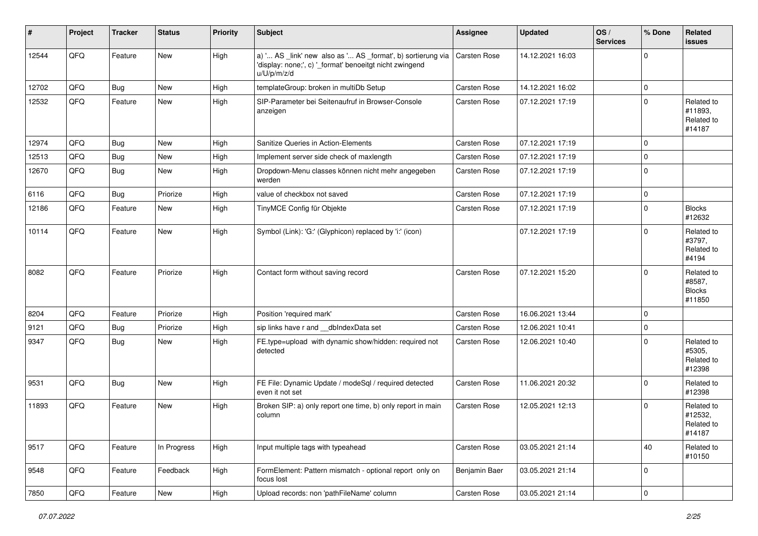| #     | Project        | <b>Tracker</b> | <b>Status</b> | <b>Priority</b> | Subject                                                                                                                               | <b>Assignee</b>     | <b>Updated</b>   | OS/<br><b>Services</b> | % Done      | <b>Related</b><br>issues                        |
|-------|----------------|----------------|---------------|-----------------|---------------------------------------------------------------------------------------------------------------------------------------|---------------------|------------------|------------------------|-------------|-------------------------------------------------|
| 12544 | QFQ            | Feature        | <b>New</b>    | High            | a) ' AS _link' new also as ' AS _format', b) sortierung via<br>'display: none;', c) '_format' benoeitgt nicht zwingend<br>u/U/p/m/z/d | <b>Carsten Rose</b> | 14.12.2021 16:03 |                        | 0           |                                                 |
| 12702 | QFQ            | Bug            | <b>New</b>    | High            | templateGroup: broken in multiDb Setup                                                                                                | Carsten Rose        | 14.12.2021 16:02 |                        | 0           |                                                 |
| 12532 | QFQ            | Feature        | <b>New</b>    | High            | SIP-Parameter bei Seitenaufruf in Browser-Console<br>anzeigen                                                                         | Carsten Rose        | 07.12.2021 17:19 |                        | $\Omega$    | Related to<br>#11893,<br>Related to<br>#14187   |
| 12974 | QFQ            | Bug            | <b>New</b>    | High            | Sanitize Queries in Action-Elements                                                                                                   | Carsten Rose        | 07.12.2021 17:19 |                        | 0           |                                                 |
| 12513 | QFQ            | Bug            | <b>New</b>    | High            | Implement server side check of maxlength                                                                                              | Carsten Rose        | 07.12.2021 17:19 |                        | 0           |                                                 |
| 12670 | QFQ            | <b>Bug</b>     | <b>New</b>    | High            | Dropdown-Menu classes können nicht mehr angegeben<br>werden                                                                           | Carsten Rose        | 07.12.2021 17:19 |                        | 0           |                                                 |
| 6116  | QFQ            | <b>Bug</b>     | Priorize      | High            | value of checkbox not saved                                                                                                           | Carsten Rose        | 07.12.2021 17:19 |                        | 0           |                                                 |
| 12186 | QFQ            | Feature        | New           | High            | TinyMCE Config für Objekte                                                                                                            | <b>Carsten Rose</b> | 07.12.2021 17:19 |                        | $\Omega$    | <b>Blocks</b><br>#12632                         |
| 10114 | QFQ            | Feature        | <b>New</b>    | High            | Symbol (Link): 'G:' (Glyphicon) replaced by 'i:' (icon)                                                                               |                     | 07.12.2021 17:19 |                        | $\Omega$    | Related to<br>#3797,<br>Related to<br>#4194     |
| 8082  | QFQ            | Feature        | Priorize      | High            | Contact form without saving record                                                                                                    | <b>Carsten Rose</b> | 07.12.2021 15:20 |                        | $\Omega$    | Related to<br>#8587,<br><b>Blocks</b><br>#11850 |
| 8204  | QFQ            | Feature        | Priorize      | High            | Position 'required mark'                                                                                                              | <b>Carsten Rose</b> | 16.06.2021 13:44 |                        | $\Omega$    |                                                 |
| 9121  | QFQ            | Bug            | Priorize      | High            | sip links have r and __dbIndexData set                                                                                                | Carsten Rose        | 12.06.2021 10:41 |                        | 0           |                                                 |
| 9347  | QFQ            | Bug            | New           | High            | FE.type=upload with dynamic show/hidden: required not<br>detected                                                                     | Carsten Rose        | 12.06.2021 10:40 |                        | $\Omega$    | Related to<br>#5305,<br>Related to<br>#12398    |
| 9531  | QFQ            | <b>Bug</b>     | <b>New</b>    | High            | FE File: Dynamic Update / modeSql / required detected<br>even it not set                                                              | Carsten Rose        | 11.06.2021 20:32 |                        | $\mathbf 0$ | Related to<br>#12398                            |
| 11893 | QFQ            | Feature        | <b>New</b>    | High            | Broken SIP: a) only report one time, b) only report in main<br>column                                                                 | Carsten Rose        | 12.05.2021 12:13 |                        | $\Omega$    | Related to<br>#12532,<br>Related to<br>#14187   |
| 9517  | QFQ            | Feature        | In Progress   | High            | Input multiple tags with typeahead                                                                                                    | Carsten Rose        | 03.05.2021 21:14 |                        | 40          | Related to<br>#10150                            |
| 9548  | QFQ            | Feature        | Feedback      | High            | FormElement: Pattern mismatch - optional report only on<br>focus lost                                                                 | Benjamin Baer       | 03.05.2021 21:14 |                        | 0           |                                                 |
| 7850  | $\mathsf{QFQ}$ | Feature        | New           | High            | Upload records: non 'pathFileName' column                                                                                             | Carsten Rose        | 03.05.2021 21:14 |                        | 0           |                                                 |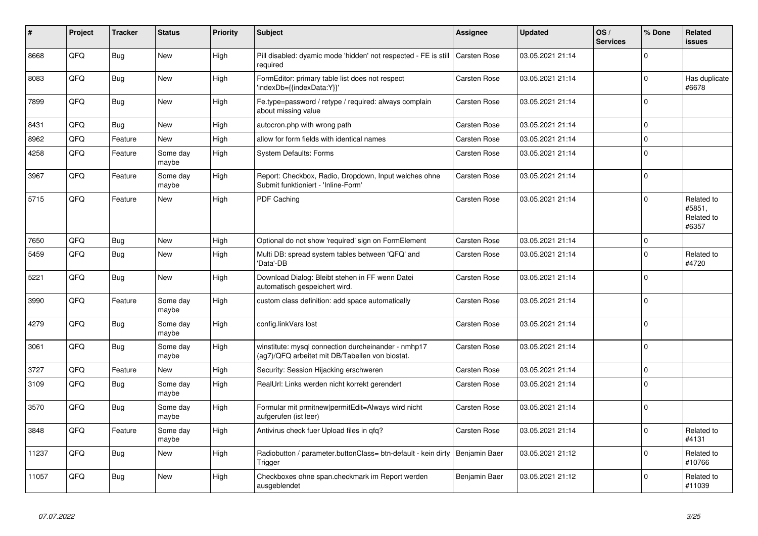| #     | Project | <b>Tracker</b> | <b>Status</b>     | <b>Priority</b> | <b>Subject</b>                                                                                         | Assignee            | <b>Updated</b>   | OS/<br><b>Services</b> | % Done         | Related<br>issues                           |
|-------|---------|----------------|-------------------|-----------------|--------------------------------------------------------------------------------------------------------|---------------------|------------------|------------------------|----------------|---------------------------------------------|
| 8668  | QFQ     | <b>Bug</b>     | <b>New</b>        | High            | Pill disabled: dyamic mode 'hidden' not respected - FE is still<br>required                            | <b>Carsten Rose</b> | 03.05.2021 21:14 |                        | $\Omega$       |                                             |
| 8083  | QFQ     | Bug            | New               | High            | FormEditor: primary table list does not respect<br>'indexDb={{indexData:Y}}'                           | Carsten Rose        | 03.05.2021 21:14 |                        | $\mathbf 0$    | Has duplicate<br>#6678                      |
| 7899  | QFQ     | Bug            | <b>New</b>        | High            | Fe.type=password / retype / required: always complain<br>about missing value                           | Carsten Rose        | 03.05.2021 21:14 |                        | $\mathbf 0$    |                                             |
| 8431  | QFQ     | Bug            | <b>New</b>        | High            | autocron.php with wrong path                                                                           | Carsten Rose        | 03.05.2021 21:14 |                        | $\pmb{0}$      |                                             |
| 8962  | QFQ     | Feature        | New               | High            | allow for form fields with identical names                                                             | Carsten Rose        | 03.05.2021 21:14 |                        | 0              |                                             |
| 4258  | QFQ     | Feature        | Some day<br>maybe | High            | <b>System Defaults: Forms</b>                                                                          | Carsten Rose        | 03.05.2021 21:14 |                        | 0              |                                             |
| 3967  | QFQ     | Feature        | Some day<br>maybe | High            | Report: Checkbox, Radio, Dropdown, Input welches ohne<br>Submit funktioniert - 'Inline-Form'           | Carsten Rose        | 03.05.2021 21:14 |                        | $\Omega$       |                                             |
| 5715  | QFQ     | Feature        | <b>New</b>        | High            | PDF Caching                                                                                            | Carsten Rose        | 03.05.2021 21:14 |                        | $\mathbf 0$    | Related to<br>#5851,<br>Related to<br>#6357 |
| 7650  | QFQ     | Bug            | <b>New</b>        | High            | Optional do not show 'required' sign on FormElement                                                    | <b>Carsten Rose</b> | 03.05.2021 21:14 |                        | $\pmb{0}$      |                                             |
| 5459  | QFQ     | <b>Bug</b>     | <b>New</b>        | High            | Multi DB: spread system tables between 'QFQ' and<br>'Data'-DB                                          | Carsten Rose        | 03.05.2021 21:14 |                        | $\Omega$       | Related to<br>#4720                         |
| 5221  | QFQ     | Bug            | New               | High            | Download Dialog: Bleibt stehen in FF wenn Datei<br>automatisch gespeichert wird.                       | Carsten Rose        | 03.05.2021 21:14 |                        | $\mathbf 0$    |                                             |
| 3990  | QFQ     | Feature        | Some day<br>maybe | High            | custom class definition: add space automatically                                                       | Carsten Rose        | 03.05.2021 21:14 |                        | 0              |                                             |
| 4279  | QFQ     | <b>Bug</b>     | Some day<br>maybe | High            | config.linkVars lost                                                                                   | Carsten Rose        | 03.05.2021 21:14 |                        | $\pmb{0}$      |                                             |
| 3061  | QFQ     | <b>Bug</b>     | Some day<br>maybe | High            | winstitute: mysql connection durcheinander - nmhp17<br>(ag7)/QFQ arbeitet mit DB/Tabellen von biostat. | Carsten Rose        | 03.05.2021 21:14 |                        | $\mathbf 0$    |                                             |
| 3727  | QFQ     | Feature        | <b>New</b>        | High            | Security: Session Hijacking erschweren                                                                 | Carsten Rose        | 03.05.2021 21:14 |                        | $\mathbf 0$    |                                             |
| 3109  | QFQ     | Bug            | Some day<br>maybe | High            | RealUrl: Links werden nicht korrekt gerendert                                                          | Carsten Rose        | 03.05.2021 21:14 |                        | $\mathbf 0$    |                                             |
| 3570  | QFQ     | <b>Bug</b>     | Some day<br>maybe | High            | Formular mit prmitnew permitEdit=Always wird nicht<br>aufgerufen (ist leer)                            | Carsten Rose        | 03.05.2021 21:14 |                        | $\overline{0}$ |                                             |
| 3848  | QFQ     | Feature        | Some day<br>maybe | High            | Antivirus check fuer Upload files in qfq?                                                              | Carsten Rose        | 03.05.2021 21:14 |                        | $\mathbf 0$    | Related to<br>#4131                         |
| 11237 | QFQ     | <b>Bug</b>     | New               | High            | Radiobutton / parameter.buttonClass= btn-default - kein dirty<br>Trigger                               | Benjamin Baer       | 03.05.2021 21:12 |                        | 0              | Related to<br>#10766                        |
| 11057 | QFQ     | Bug            | <b>New</b>        | High            | Checkboxes ohne span.checkmark im Report werden<br>ausgeblendet                                        | Benjamin Baer       | 03.05.2021 21:12 |                        | $\Omega$       | Related to<br>#11039                        |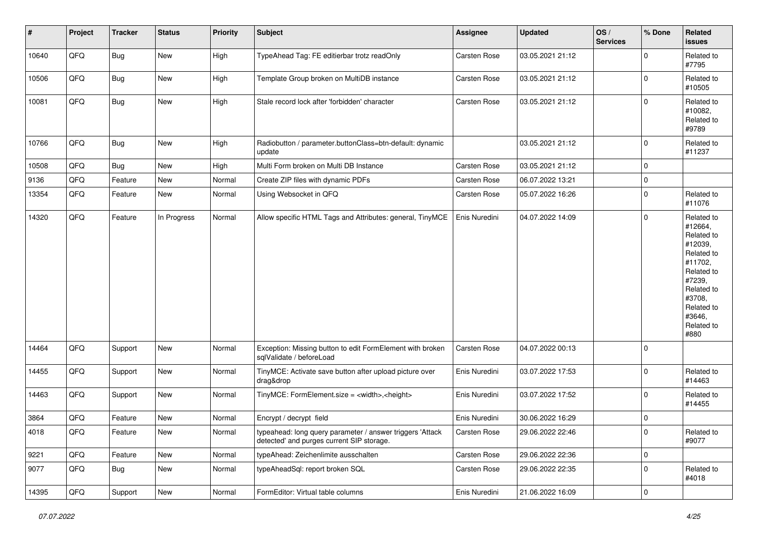| #     | Project    | <b>Tracker</b> | <b>Status</b> | <b>Priority</b> | Subject                                                                                                | Assignee            | <b>Updated</b>   | OS/<br><b>Services</b> | % Done      | Related<br><b>issues</b>                                                                                                                                              |
|-------|------------|----------------|---------------|-----------------|--------------------------------------------------------------------------------------------------------|---------------------|------------------|------------------------|-------------|-----------------------------------------------------------------------------------------------------------------------------------------------------------------------|
| 10640 | QFQ        | <b>Bug</b>     | New           | High            | TypeAhead Tag: FE editierbar trotz readOnly                                                            | <b>Carsten Rose</b> | 03.05.2021 21:12 |                        | $\mathbf 0$ | Related to<br>#7795                                                                                                                                                   |
| 10506 | QFQ        | Bug            | New           | High            | Template Group broken on MultiDB instance                                                              | <b>Carsten Rose</b> | 03.05.2021 21:12 |                        | $\mathbf 0$ | Related to<br>#10505                                                                                                                                                  |
| 10081 | QFQ        | <b>Bug</b>     | New           | High            | Stale record lock after 'forbidden' character                                                          | Carsten Rose        | 03.05.2021 21:12 |                        | $\mathbf 0$ | Related to<br>#10082,<br>Related to<br>#9789                                                                                                                          |
| 10766 | QFQ        | Bug            | <b>New</b>    | High            | Radiobutton / parameter.buttonClass=btn-default: dynamic<br>update                                     |                     | 03.05.2021 21:12 |                        | $\mathbf 0$ | Related to<br>#11237                                                                                                                                                  |
| 10508 | QFQ        | Bug            | New           | High            | Multi Form broken on Multi DB Instance                                                                 | Carsten Rose        | 03.05.2021 21:12 |                        | $\mathbf 0$ |                                                                                                                                                                       |
| 9136  | QFQ        | Feature        | <b>New</b>    | Normal          | Create ZIP files with dynamic PDFs                                                                     | Carsten Rose        | 06.07.2022 13:21 |                        | 0           |                                                                                                                                                                       |
| 13354 | QFQ        | Feature        | <b>New</b>    | Normal          | Using Websocket in QFQ                                                                                 | Carsten Rose        | 05.07.2022 16:26 |                        | $\pmb{0}$   | Related to<br>#11076                                                                                                                                                  |
| 14320 | QFQ        | Feature        | In Progress   | Normal          | Allow specific HTML Tags and Attributes: general, TinyMCE                                              | Enis Nuredini       | 04.07.2022 14:09 |                        | $\mathbf 0$ | Related to<br>#12664,<br>Related to<br>#12039,<br>Related to<br>#11702,<br>Related to<br>#7239,<br>Related to<br>#3708,<br>Related to<br>#3646,<br>Related to<br>#880 |
| 14464 | QFQ        | Support        | <b>New</b>    | Normal          | Exception: Missing button to edit FormElement with broken<br>sqlValidate / beforeLoad                  | Carsten Rose        | 04.07.2022 00:13 |                        | $\mathbf 0$ |                                                                                                                                                                       |
| 14455 | QFQ        | Support        | New           | Normal          | TinyMCE: Activate save button after upload picture over<br>drag&drop                                   | Enis Nuredini       | 03.07.2022 17:53 |                        | $\mathbf 0$ | Related to<br>#14463                                                                                                                                                  |
| 14463 | QFQ        | Support        | New           | Normal          | TinyMCE: FormElement.size = <width>,<height></height></width>                                          | Enis Nuredini       | 03.07.2022 17:52 |                        | $\mathbf 0$ | Related to<br>#14455                                                                                                                                                  |
| 3864  | QFQ        | Feature        | New           | Normal          | Encrypt / decrypt field                                                                                | Enis Nuredini       | 30.06.2022 16:29 |                        | $\mathbf 0$ |                                                                                                                                                                       |
| 4018  | <b>QFQ</b> | Feature        | New           | Normal          | typeahead: long query parameter / answer triggers 'Attack<br>detected' and purges current SIP storage. | Carsten Rose        | 29.06.2022 22:46 |                        | 0           | Related to<br>#9077                                                                                                                                                   |
| 9221  | QFQ        | Feature        | New           | Normal          | typeAhead: Zeichenlimite ausschalten                                                                   | Carsten Rose        | 29.06.2022 22:36 |                        | $\mathbf 0$ |                                                                                                                                                                       |
| 9077  | QFQ        | <b>Bug</b>     | New           | Normal          | typeAheadSql: report broken SQL                                                                        | Carsten Rose        | 29.06.2022 22:35 |                        | $\mathbf 0$ | Related to<br>#4018                                                                                                                                                   |
| 14395 | QFQ        | Support        | New           | Normal          | FormEditor: Virtual table columns                                                                      | Enis Nuredini       | 21.06.2022 16:09 |                        | 0           |                                                                                                                                                                       |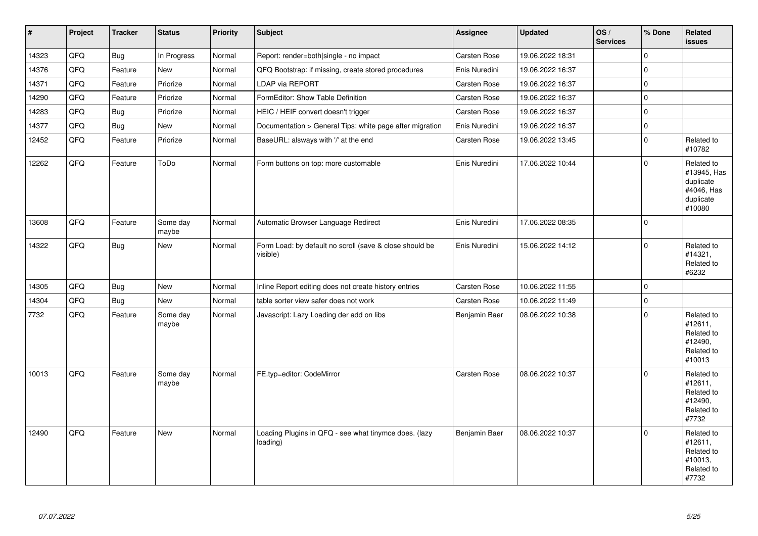| $\vert$ # | Project | <b>Tracker</b> | <b>Status</b>     | <b>Priority</b> | <b>Subject</b>                                                      | Assignee      | <b>Updated</b>   | OS/<br><b>Services</b> | % Done              | <b>Related</b><br><b>issues</b>                                             |
|-----------|---------|----------------|-------------------|-----------------|---------------------------------------------------------------------|---------------|------------------|------------------------|---------------------|-----------------------------------------------------------------------------|
| 14323     | QFQ     | <b>Bug</b>     | In Progress       | Normal          | Report: render=both single - no impact                              | Carsten Rose  | 19.06.2022 18:31 |                        | $\mathbf{0}$        |                                                                             |
| 14376     | QFQ     | Feature        | <b>New</b>        | Normal          | QFQ Bootstrap: if missing, create stored procedures                 | Enis Nuredini | 19.06.2022 16:37 |                        | $\mathsf{O}\xspace$ |                                                                             |
| 14371     | QFQ     | Feature        | Priorize          | Normal          | <b>LDAP via REPORT</b>                                              | Carsten Rose  | 19.06.2022 16:37 |                        | $\pmb{0}$           |                                                                             |
| 14290     | QFQ     | Feature        | Priorize          | Normal          | FormEditor: Show Table Definition                                   | Carsten Rose  | 19.06.2022 16:37 |                        | $\pmb{0}$           |                                                                             |
| 14283     | QFQ     | Bug            | Priorize          | Normal          | HEIC / HEIF convert doesn't trigger                                 | Carsten Rose  | 19.06.2022 16:37 |                        | $\pmb{0}$           |                                                                             |
| 14377     | QFQ     | <b>Bug</b>     | <b>New</b>        | Normal          | Documentation > General Tips: white page after migration            | Enis Nuredini | 19.06.2022 16:37 |                        | 0                   |                                                                             |
| 12452     | QFQ     | Feature        | Priorize          | Normal          | BaseURL: alsways with '/' at the end                                | Carsten Rose  | 19.06.2022 13:45 |                        | $\mathbf 0$         | Related to<br>#10782                                                        |
| 12262     | QFQ     | Feature        | ToDo              | Normal          | Form buttons on top: more customable                                | Enis Nuredini | 17.06.2022 10:44 |                        | $\mathbf 0$         | Related to<br>#13945, Has<br>duplicate<br>#4046, Has<br>duplicate<br>#10080 |
| 13608     | QFQ     | Feature        | Some day<br>maybe | Normal          | Automatic Browser Language Redirect                                 | Enis Nuredini | 17.06.2022 08:35 |                        | $\mathbf 0$         |                                                                             |
| 14322     | QFQ     | Bug            | New               | Normal          | Form Load: by default no scroll (save & close should be<br>visible) | Enis Nuredini | 15.06.2022 14:12 |                        | $\mathbf{0}$        | Related to<br>#14321,<br>Related to<br>#6232                                |
| 14305     | QFQ     | Bug            | <b>New</b>        | Normal          | Inline Report editing does not create history entries               | Carsten Rose  | 10.06.2022 11:55 |                        | $\Omega$            |                                                                             |
| 14304     | QFQ     | <b>Bug</b>     | <b>New</b>        | Normal          | table sorter view safer does not work                               | Carsten Rose  | 10.06.2022 11:49 |                        | 0                   |                                                                             |
| 7732      | QFQ     | Feature        | Some day<br>maybe | Normal          | Javascript: Lazy Loading der add on libs                            | Benjamin Baer | 08.06.2022 10:38 |                        | $\mathbf 0$         | Related to<br>#12611,<br>Related to<br>#12490,<br>Related to<br>#10013      |
| 10013     | QFQ     | Feature        | Some day<br>maybe | Normal          | FE.typ=editor: CodeMirror                                           | Carsten Rose  | 08.06.2022 10:37 |                        | $\Omega$            | Related to<br>#12611,<br>Related to<br>#12490,<br>Related to<br>#7732       |
| 12490     | QFQ     | Feature        | <b>New</b>        | Normal          | Loading Plugins in QFQ - see what tinymce does. (lazy<br>loading)   | Benjamin Baer | 08.06.2022 10:37 |                        | $\Omega$            | Related to<br>#12611,<br>Related to<br>#10013,<br>Related to<br>#7732       |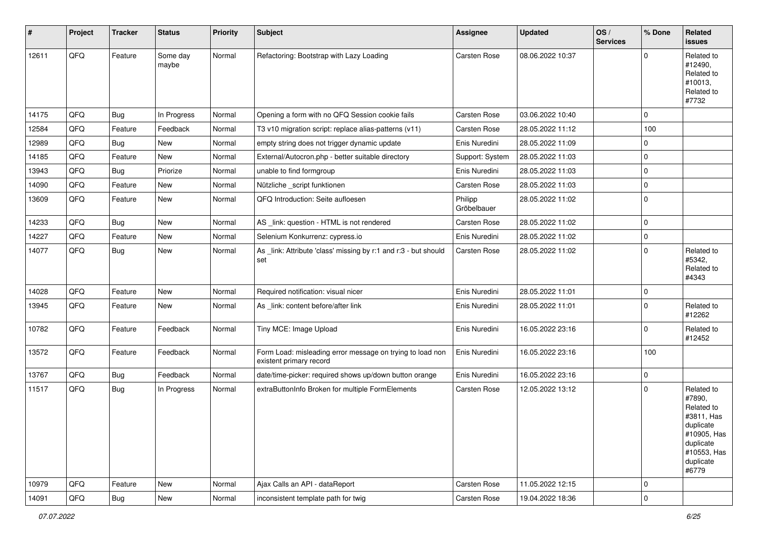| #     | Project | <b>Tracker</b> | <b>Status</b>     | <b>Priority</b> | <b>Subject</b>                                                                       | <b>Assignee</b>        | <b>Updated</b>   | OS/<br><b>Services</b> | % Done      | Related<br><b>issues</b>                                                                                                       |
|-------|---------|----------------|-------------------|-----------------|--------------------------------------------------------------------------------------|------------------------|------------------|------------------------|-------------|--------------------------------------------------------------------------------------------------------------------------------|
| 12611 | QFQ     | Feature        | Some day<br>maybe | Normal          | Refactoring: Bootstrap with Lazy Loading                                             | Carsten Rose           | 08.06.2022 10:37 |                        | $\Omega$    | Related to<br>#12490,<br>Related to<br>#10013,<br>Related to<br>#7732                                                          |
| 14175 | QFQ     | Bug            | In Progress       | Normal          | Opening a form with no QFQ Session cookie fails                                      | <b>Carsten Rose</b>    | 03.06.2022 10:40 |                        | $\mathbf 0$ |                                                                                                                                |
| 12584 | QFQ     | Feature        | Feedback          | Normal          | T3 v10 migration script: replace alias-patterns (v11)                                | Carsten Rose           | 28.05.2022 11:12 |                        | 100         |                                                                                                                                |
| 12989 | QFQ     | Bug            | New               | Normal          | empty string does not trigger dynamic update                                         | Enis Nuredini          | 28.05.2022 11:09 |                        | $\Omega$    |                                                                                                                                |
| 14185 | QFQ     | Feature        | New               | Normal          | External/Autocron.php - better suitable directory                                    | Support: System        | 28.05.2022 11:03 |                        | 0           |                                                                                                                                |
| 13943 | QFQ     | Bug            | Priorize          | Normal          | unable to find formgroup                                                             | Enis Nuredini          | 28.05.2022 11:03 |                        | $\Omega$    |                                                                                                                                |
| 14090 | QFQ     | Feature        | <b>New</b>        | Normal          | Nützliche _script funktionen                                                         | Carsten Rose           | 28.05.2022 11:03 |                        | 0           |                                                                                                                                |
| 13609 | QFQ     | Feature        | New               | Normal          | QFQ Introduction: Seite aufloesen                                                    | Philipp<br>Gröbelbauer | 28.05.2022 11:02 |                        | 0           |                                                                                                                                |
| 14233 | QFQ     | <b>Bug</b>     | New               | Normal          | AS _link: question - HTML is not rendered                                            | Carsten Rose           | 28.05.2022 11:02 |                        | 0           |                                                                                                                                |
| 14227 | QFQ     | Feature        | New               | Normal          | Selenium Konkurrenz: cypress.io                                                      | Enis Nuredini          | 28.05.2022 11:02 |                        | 0           |                                                                                                                                |
| 14077 | QFQ     | Bug            | New               | Normal          | As _link: Attribute 'class' missing by r:1 and r:3 - but should<br>set               | Carsten Rose           | 28.05.2022 11:02 |                        | $\mathbf 0$ | Related to<br>#5342,<br>Related to<br>#4343                                                                                    |
| 14028 | QFQ     | Feature        | New               | Normal          | Required notification: visual nicer                                                  | Enis Nuredini          | 28.05.2022 11:01 |                        | 0           |                                                                                                                                |
| 13945 | QFQ     | Feature        | New               | Normal          | As link: content before/after link                                                   | Enis Nuredini          | 28.05.2022 11:01 |                        | 0           | Related to<br>#12262                                                                                                           |
| 10782 | QFQ     | Feature        | Feedback          | Normal          | Tiny MCE: Image Upload                                                               | Enis Nuredini          | 16.05.2022 23:16 |                        | $\mathbf 0$ | Related to<br>#12452                                                                                                           |
| 13572 | QFQ     | Feature        | Feedback          | Normal          | Form Load: misleading error message on trying to load non<br>existent primary record | Enis Nuredini          | 16.05.2022 23:16 |                        | 100         |                                                                                                                                |
| 13767 | QFQ     | <b>Bug</b>     | Feedback          | Normal          | date/time-picker: required shows up/down button orange                               | Enis Nuredini          | 16.05.2022 23:16 |                        | $\mathbf 0$ |                                                                                                                                |
| 11517 | QFQ     | Bug            | In Progress       | Normal          | extraButtonInfo Broken for multiple FormElements                                     | Carsten Rose           | 12.05.2022 13:12 |                        | 0           | Related to<br>#7890,<br>Related to<br>#3811, Has<br>duplicate<br>#10905, Has<br>duplicate<br>#10553, Has<br>duplicate<br>#6779 |
| 10979 | QFQ     | Feature        | New               | Normal          | Ajax Calls an API - dataReport                                                       | Carsten Rose           | 11.05.2022 12:15 |                        | $\mathbf 0$ |                                                                                                                                |
| 14091 | QFG     | Bug            | New               | Normal          | inconsistent template path for twig                                                  | Carsten Rose           | 19.04.2022 18:36 |                        | 0           |                                                                                                                                |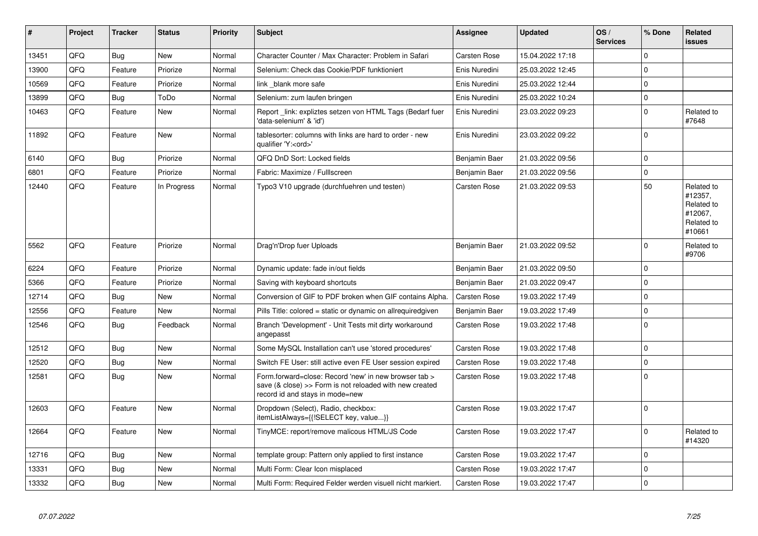| #     | Project | <b>Tracker</b> | <b>Status</b> | <b>Priority</b> | <b>Subject</b>                                                                                                                                      | Assignee            | <b>Updated</b>   | OS/<br><b>Services</b> | % Done      | Related<br><b>issues</b>                                               |
|-------|---------|----------------|---------------|-----------------|-----------------------------------------------------------------------------------------------------------------------------------------------------|---------------------|------------------|------------------------|-------------|------------------------------------------------------------------------|
| 13451 | QFQ     | <b>Bug</b>     | <b>New</b>    | Normal          | Character Counter / Max Character: Problem in Safari                                                                                                | Carsten Rose        | 15.04.2022 17:18 |                        | $\Omega$    |                                                                        |
| 13900 | QFQ     | Feature        | Priorize      | Normal          | Selenium: Check das Cookie/PDF funktioniert                                                                                                         | Enis Nuredini       | 25.03.2022 12:45 |                        | $\Omega$    |                                                                        |
| 10569 | QFQ     | Feature        | Priorize      | Normal          | link blank more safe                                                                                                                                | Enis Nuredini       | 25.03.2022 12:44 |                        | 0           |                                                                        |
| 13899 | QFQ     | Bug            | ToDo          | Normal          | Selenium: zum laufen bringen                                                                                                                        | Enis Nuredini       | 25.03.2022 10:24 |                        | 0           |                                                                        |
| 10463 | QFQ     | Feature        | <b>New</b>    | Normal          | Report_link: expliztes setzen von HTML Tags (Bedarf fuer<br>'data-selenium' & 'id')                                                                 | Enis Nuredini       | 23.03.2022 09:23 |                        | $\Omega$    | Related to<br>#7648                                                    |
| 11892 | QFQ     | Feature        | New           | Normal          | tablesorter: columns with links are hard to order - new<br>qualifier 'Y: <ord>'</ord>                                                               | Enis Nuredini       | 23.03.2022 09:22 |                        | $\Omega$    |                                                                        |
| 6140  | QFQ     | Bug            | Priorize      | Normal          | QFQ DnD Sort: Locked fields                                                                                                                         | Benjamin Baer       | 21.03.2022 09:56 |                        | 0           |                                                                        |
| 6801  | QFQ     | Feature        | Priorize      | Normal          | Fabric: Maximize / FullIscreen                                                                                                                      | Benjamin Baer       | 21.03.2022 09:56 |                        | 0           |                                                                        |
| 12440 | QFQ     | Feature        | In Progress   | Normal          | Typo3 V10 upgrade (durchfuehren und testen)                                                                                                         | <b>Carsten Rose</b> | 21.03.2022 09:53 |                        | 50          | Related to<br>#12357,<br>Related to<br>#12067,<br>Related to<br>#10661 |
| 5562  | QFQ     | Feature        | Priorize      | Normal          | Drag'n'Drop fuer Uploads                                                                                                                            | Benjamin Baer       | 21.03.2022 09:52 |                        | 0           | Related to<br>#9706                                                    |
| 6224  | QFQ     | Feature        | Priorize      | Normal          | Dynamic update: fade in/out fields                                                                                                                  | Benjamin Baer       | 21.03.2022 09:50 |                        | $\Omega$    |                                                                        |
| 5366  | QFQ     | Feature        | Priorize      | Normal          | Saving with keyboard shortcuts                                                                                                                      | Benjamin Baer       | 21.03.2022 09:47 |                        | 0           |                                                                        |
| 12714 | QFQ     | <b>Bug</b>     | <b>New</b>    | Normal          | Conversion of GIF to PDF broken when GIF contains Alpha.                                                                                            | <b>Carsten Rose</b> | 19.03.2022 17:49 |                        | 0           |                                                                        |
| 12556 | QFQ     | Feature        | <b>New</b>    | Normal          | Pills Title: colored = static or dynamic on allrequiredgiven                                                                                        | Benjamin Baer       | 19.03.2022 17:49 |                        | $\Omega$    |                                                                        |
| 12546 | QFQ     | <b>Bug</b>     | Feedback      | Normal          | Branch 'Development' - Unit Tests mit dirty workaround<br>angepasst                                                                                 | <b>Carsten Rose</b> | 19.03.2022 17:48 |                        | $\Omega$    |                                                                        |
| 12512 | QFQ     | Bug            | <b>New</b>    | Normal          | Some MySQL Installation can't use 'stored procedures'                                                                                               | Carsten Rose        | 19.03.2022 17:48 |                        | 0           |                                                                        |
| 12520 | QFQ     | <b>Bug</b>     | New           | Normal          | Switch FE User: still active even FE User session expired                                                                                           | Carsten Rose        | 19.03.2022 17:48 |                        | 0           |                                                                        |
| 12581 | QFQ     | Bug            | <b>New</b>    | Normal          | Form.forward=close: Record 'new' in new browser tab ><br>save (& close) >> Form is not reloaded with new created<br>record id and stays in mode=new | Carsten Rose        | 19.03.2022 17:48 |                        | 0           |                                                                        |
| 12603 | QFQ     | Feature        | <b>New</b>    | Normal          | Dropdown (Select), Radio, checkbox:<br>itemListAlways={{!SELECT key, value}}                                                                        | <b>Carsten Rose</b> | 19.03.2022 17:47 |                        | $\mathbf 0$ |                                                                        |
| 12664 | QFQ     | Feature        | <b>New</b>    | Normal          | TinyMCE: report/remove malicous HTML/JS Code                                                                                                        | Carsten Rose        | 19.03.2022 17:47 |                        | 0           | Related to<br>#14320                                                   |
| 12716 | QFQ     | Bug            | <b>New</b>    | Normal          | template group: Pattern only applied to first instance                                                                                              | Carsten Rose        | 19.03.2022 17:47 |                        | $\Omega$    |                                                                        |
| 13331 | QFQ     | Bug            | New           | Normal          | Multi Form: Clear Icon misplaced                                                                                                                    | Carsten Rose        | 19.03.2022 17:47 |                        | 0           |                                                                        |
| 13332 | QFQ     | Bug            | New           | Normal          | Multi Form: Required Felder werden visuell nicht markiert.                                                                                          | <b>Carsten Rose</b> | 19.03.2022 17:47 |                        | 0           |                                                                        |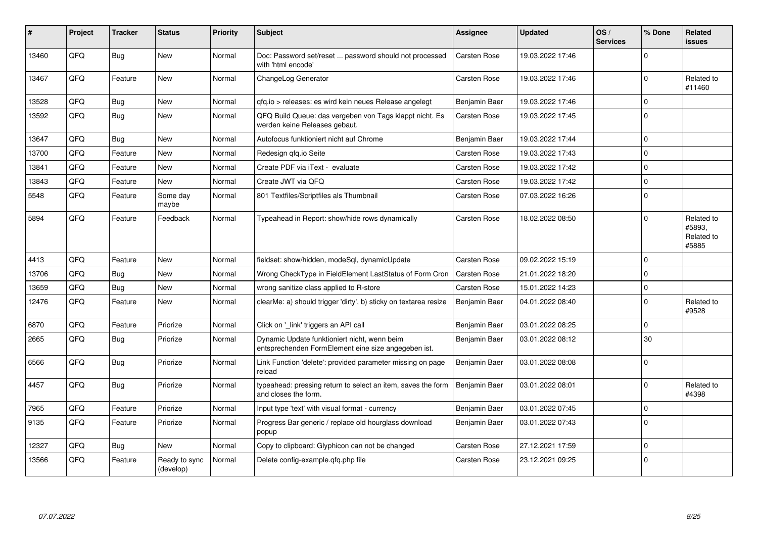| #     | Project | <b>Tracker</b> | <b>Status</b>              | <b>Priority</b> | <b>Subject</b>                                                                                      | <b>Assignee</b> | <b>Updated</b>   | OS/<br><b>Services</b> | % Done      | Related<br>issues                           |
|-------|---------|----------------|----------------------------|-----------------|-----------------------------------------------------------------------------------------------------|-----------------|------------------|------------------------|-------------|---------------------------------------------|
| 13460 | QFQ     | Bug            | <b>New</b>                 | Normal          | Doc: Password set/reset  password should not processed<br>with 'html encode'                        | Carsten Rose    | 19.03.2022 17:46 |                        | $\Omega$    |                                             |
| 13467 | QFQ     | Feature        | <b>New</b>                 | Normal          | ChangeLog Generator                                                                                 | Carsten Rose    | 19.03.2022 17:46 |                        | $\Omega$    | Related to<br>#11460                        |
| 13528 | QFQ     | Bug            | <b>New</b>                 | Normal          | gfg.io > releases: es wird kein neues Release angelegt                                              | Benjamin Baer   | 19.03.2022 17:46 |                        | $\Omega$    |                                             |
| 13592 | QFQ     | Bug            | <b>New</b>                 | Normal          | QFQ Build Queue: das vergeben von Tags klappt nicht. Es<br>werden keine Releases gebaut.            | Carsten Rose    | 19.03.2022 17:45 |                        | $\Omega$    |                                             |
| 13647 | QFQ     | <b>Bug</b>     | <b>New</b>                 | Normal          | Autofocus funktioniert nicht auf Chrome                                                             | Benjamin Baer   | 19.03.2022 17:44 |                        | $\Omega$    |                                             |
| 13700 | QFQ     | Feature        | <b>New</b>                 | Normal          | Redesign gfg.io Seite                                                                               | Carsten Rose    | 19.03.2022 17:43 |                        | $\Omega$    |                                             |
| 13841 | QFQ     | Feature        | <b>New</b>                 | Normal          | Create PDF via iText - evaluate                                                                     | Carsten Rose    | 19.03.2022 17:42 |                        | $\Omega$    |                                             |
| 13843 | QFQ     | Feature        | <b>New</b>                 | Normal          | Create JWT via QFQ                                                                                  | Carsten Rose    | 19.03.2022 17:42 |                        | $\Omega$    |                                             |
| 5548  | QFQ     | Feature        | Some day<br>maybe          | Normal          | 801 Textfiles/Scriptfiles als Thumbnail                                                             | Carsten Rose    | 07.03.2022 16:26 |                        | $\Omega$    |                                             |
| 5894  | QFQ     | Feature        | Feedback                   | Normal          | Typeahead in Report: show/hide rows dynamically                                                     | Carsten Rose    | 18.02.2022 08:50 |                        | $\Omega$    | Related to<br>#5893.<br>Related to<br>#5885 |
| 4413  | QFQ     | Feature        | <b>New</b>                 | Normal          | fieldset: show/hidden, modeSql, dynamicUpdate                                                       | Carsten Rose    | 09.02.2022 15:19 |                        | $\Omega$    |                                             |
| 13706 | QFQ     | <b>Bug</b>     | <b>New</b>                 | Normal          | Wrong CheckType in FieldElement LastStatus of Form Cron                                             | Carsten Rose    | 21.01.2022 18:20 |                        | $\Omega$    |                                             |
| 13659 | QFQ     | Bug            | <b>New</b>                 | Normal          | wrong sanitize class applied to R-store                                                             | Carsten Rose    | 15.01.2022 14:23 |                        | $\pmb{0}$   |                                             |
| 12476 | QFQ     | Feature        | <b>New</b>                 | Normal          | clearMe: a) should trigger 'dirty', b) sticky on textarea resize                                    | Benjamin Baer   | 04.01.2022 08:40 |                        | $\Omega$    | Related to<br>#9528                         |
| 6870  | QFQ     | Feature        | Priorize                   | Normal          | Click on '_link' triggers an API call                                                               | Benjamin Baer   | 03.01.2022 08:25 |                        | $\mathbf 0$ |                                             |
| 2665  | QFQ     | Bug            | Priorize                   | Normal          | Dynamic Update funktioniert nicht, wenn beim<br>entsprechenden FormElement eine size angegeben ist. | Benjamin Baer   | 03.01.2022 08:12 |                        | 30          |                                             |
| 6566  | QFQ     | <b>Bug</b>     | Priorize                   | Normal          | Link Function 'delete': provided parameter missing on page<br>reload                                | Benjamin Baer   | 03.01.2022 08:08 |                        | $\mathbf 0$ |                                             |
| 4457  | QFQ     | Bug            | Priorize                   | Normal          | typeahead: pressing return to select an item, saves the form<br>and closes the form.                | Benjamin Baer   | 03.01.2022 08:01 |                        | $\Omega$    | Related to<br>#4398                         |
| 7965  | QFQ     | Feature        | Priorize                   | Normal          | Input type 'text' with visual format - currency                                                     | Benjamin Baer   | 03.01.2022 07:45 |                        | $\pmb{0}$   |                                             |
| 9135  | QFQ     | Feature        | Priorize                   | Normal          | Progress Bar generic / replace old hourglass download<br>popup                                      | Benjamin Baer   | 03.01.2022 07:43 |                        | $\Omega$    |                                             |
| 12327 | QFQ     | <b>Bug</b>     | <b>New</b>                 | Normal          | Copy to clipboard: Glyphicon can not be changed                                                     | Carsten Rose    | 27.12.2021 17:59 |                        | $\Omega$    |                                             |
| 13566 | QFQ     | Feature        | Ready to sync<br>(develop) | Normal          | Delete config-example.qfq.php file                                                                  | Carsten Rose    | 23.12.2021 09:25 |                        | $\mathbf 0$ |                                             |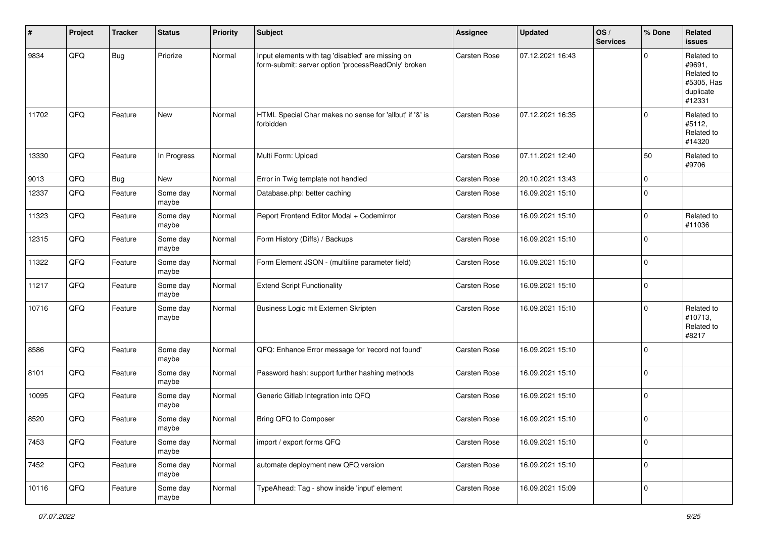| #     | Project | <b>Tracker</b> | <b>Status</b>     | <b>Priority</b> | <b>Subject</b>                                                                                           | <b>Assignee</b>     | <b>Updated</b>   | OS/<br><b>Services</b> | % Done | Related<br><b>issues</b>                                                |
|-------|---------|----------------|-------------------|-----------------|----------------------------------------------------------------------------------------------------------|---------------------|------------------|------------------------|--------|-------------------------------------------------------------------------|
| 9834  | QFQ     | Bug            | Priorize          | Normal          | Input elements with tag 'disabled' are missing on<br>form-submit: server option 'processReadOnly' broken | Carsten Rose        | 07.12.2021 16:43 |                        | 0      | Related to<br>#9691,<br>Related to<br>#5305, Has<br>duplicate<br>#12331 |
| 11702 | QFQ     | Feature        | New               | Normal          | HTML Special Char makes no sense for 'allbut' if '&' is<br>forbidden                                     | Carsten Rose        | 07.12.2021 16:35 |                        | 0      | Related to<br>#5112,<br>Related to<br>#14320                            |
| 13330 | QFQ     | Feature        | In Progress       | Normal          | Multi Form: Upload                                                                                       | <b>Carsten Rose</b> | 07.11.2021 12:40 |                        | 50     | Related to<br>#9706                                                     |
| 9013  | QFQ     | Bug            | <b>New</b>        | Normal          | Error in Twig template not handled                                                                       | <b>Carsten Rose</b> | 20.10.2021 13:43 |                        | 0      |                                                                         |
| 12337 | QFQ     | Feature        | Some day<br>maybe | Normal          | Database.php: better caching                                                                             | Carsten Rose        | 16.09.2021 15:10 |                        | 0      |                                                                         |
| 11323 | QFQ     | Feature        | Some day<br>maybe | Normal          | Report Frontend Editor Modal + Codemirror                                                                | Carsten Rose        | 16.09.2021 15:10 |                        | 0      | Related to<br>#11036                                                    |
| 12315 | QFQ     | Feature        | Some day<br>maybe | Normal          | Form History (Diffs) / Backups                                                                           | Carsten Rose        | 16.09.2021 15:10 |                        | 0      |                                                                         |
| 11322 | QFQ     | Feature        | Some day<br>maybe | Normal          | Form Element JSON - (multiline parameter field)                                                          | Carsten Rose        | 16.09.2021 15:10 |                        | 0      |                                                                         |
| 11217 | QFQ     | Feature        | Some day<br>maybe | Normal          | <b>Extend Script Functionality</b>                                                                       | Carsten Rose        | 16.09.2021 15:10 |                        | 0      |                                                                         |
| 10716 | QFQ     | Feature        | Some day<br>maybe | Normal          | Business Logic mit Externen Skripten                                                                     | Carsten Rose        | 16.09.2021 15:10 |                        | 0      | Related to<br>#10713,<br>Related to<br>#8217                            |
| 8586  | QFQ     | Feature        | Some day<br>maybe | Normal          | QFQ: Enhance Error message for 'record not found'                                                        | Carsten Rose        | 16.09.2021 15:10 |                        | 0      |                                                                         |
| 8101  | QFQ     | Feature        | Some day<br>maybe | Normal          | Password hash: support further hashing methods                                                           | Carsten Rose        | 16.09.2021 15:10 |                        | 0      |                                                                         |
| 10095 | QFQ     | Feature        | Some day<br>maybe | Normal          | Generic Gitlab Integration into QFQ                                                                      | Carsten Rose        | 16.09.2021 15:10 |                        | 0      |                                                                         |
| 8520  | QFQ     | Feature        | Some day<br>maybe | Normal          | Bring QFQ to Composer                                                                                    | Carsten Rose        | 16.09.2021 15:10 |                        | 0      |                                                                         |
| 7453  | QFQ     | Feature        | Some day<br>maybe | Normal          | import / export forms QFQ                                                                                | Carsten Rose        | 16.09.2021 15:10 |                        | 0      |                                                                         |
| 7452  | QFQ     | Feature        | Some day<br>maybe | Normal          | automate deployment new QFQ version                                                                      | Carsten Rose        | 16.09.2021 15:10 |                        | 0      |                                                                         |
| 10116 | QFQ     | Feature        | Some day<br>maybe | Normal          | TypeAhead: Tag - show inside 'input' element                                                             | Carsten Rose        | 16.09.2021 15:09 |                        | 0      |                                                                         |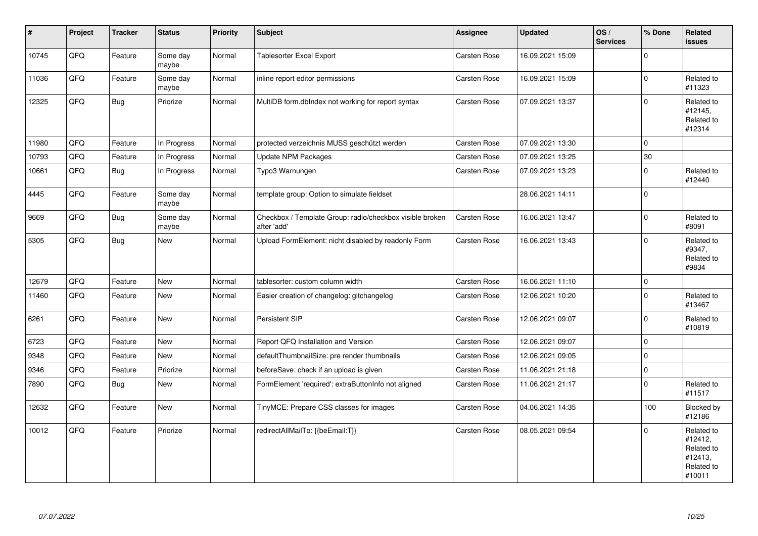| $\vert$ # | Project | <b>Tracker</b> | <b>Status</b>     | <b>Priority</b> | <b>Subject</b>                                                          | <b>Assignee</b> | <b>Updated</b>   | OS/<br><b>Services</b> | % Done         | Related<br><b>issues</b>                                               |
|-----------|---------|----------------|-------------------|-----------------|-------------------------------------------------------------------------|-----------------|------------------|------------------------|----------------|------------------------------------------------------------------------|
| 10745     | QFQ     | Feature        | Some day<br>maybe | Normal          | <b>Tablesorter Excel Export</b>                                         | Carsten Rose    | 16.09.2021 15:09 |                        | $\Omega$       |                                                                        |
| 11036     | QFQ     | Feature        | Some day<br>maybe | Normal          | inline report editor permissions                                        | Carsten Rose    | 16.09.2021 15:09 |                        | $\mathbf 0$    | Related to<br>#11323                                                   |
| 12325     | QFQ     | <b>Bug</b>     | Priorize          | Normal          | MultiDB form.dblndex not working for report syntax                      | Carsten Rose    | 07.09.2021 13:37 |                        | $\mathbf 0$    | Related to<br>#12145,<br>Related to<br>#12314                          |
| 11980     | QFQ     | Feature        | In Progress       | Normal          | protected verzeichnis MUSS geschützt werden                             | Carsten Rose    | 07.09.2021 13:30 |                        | $\Omega$       |                                                                        |
| 10793     | QFQ     | Feature        | In Progress       | Normal          | <b>Update NPM Packages</b>                                              | Carsten Rose    | 07.09.2021 13:25 |                        | 30             |                                                                        |
| 10661     | QFQ     | Bug            | In Progress       | Normal          | Typo3 Warnungen                                                         | Carsten Rose    | 07.09.2021 13:23 |                        | 0              | Related to<br>#12440                                                   |
| 4445      | QFQ     | Feature        | Some day<br>maybe | Normal          | template group: Option to simulate fieldset                             |                 | 28.06.2021 14:11 |                        | $\mathbf 0$    |                                                                        |
| 9669      | QFQ     | <b>Bug</b>     | Some day<br>maybe | Normal          | Checkbox / Template Group: radio/checkbox visible broken<br>after 'add' | Carsten Rose    | 16.06.2021 13:47 |                        | 0              | Related to<br>#8091                                                    |
| 5305      | QFQ     | Bug            | New               | Normal          | Upload FormElement: nicht disabled by readonly Form                     | Carsten Rose    | 16.06.2021 13:43 |                        | $\Omega$       | Related to<br>#9347,<br>Related to<br>#9834                            |
| 12679     | QFQ     | Feature        | New               | Normal          | tablesorter: custom column width                                        | Carsten Rose    | 16.06.2021 11:10 |                        | 0              |                                                                        |
| 11460     | QFQ     | Feature        | <b>New</b>        | Normal          | Easier creation of changelog: gitchangelog                              | Carsten Rose    | 12.06.2021 10:20 |                        | $\Omega$       | Related to<br>#13467                                                   |
| 6261      | QFQ     | Feature        | <b>New</b>        | Normal          | Persistent SIP                                                          | Carsten Rose    | 12.06.2021 09:07 |                        | $\Omega$       | Related to<br>#10819                                                   |
| 6723      | QFQ     | Feature        | <b>New</b>        | Normal          | Report QFQ Installation and Version                                     | Carsten Rose    | 12.06.2021 09:07 |                        | $\mathbf 0$    |                                                                        |
| 9348      | QFQ     | Feature        | New               | Normal          | defaultThumbnailSize: pre render thumbnails                             | Carsten Rose    | 12.06.2021 09:05 |                        | $\overline{0}$ |                                                                        |
| 9346      | QFQ     | Feature        | Priorize          | Normal          | beforeSave: check if an upload is given                                 | Carsten Rose    | 11.06.2021 21:18 |                        | $\mathbf 0$    |                                                                        |
| 7890      | QFQ     | Bug            | New               | Normal          | FormElement 'required': extraButtonInfo not aligned                     | Carsten Rose    | 11.06.2021 21:17 |                        | 0              | Related to<br>#11517                                                   |
| 12632     | QFQ     | Feature        | New               | Normal          | TinyMCE: Prepare CSS classes for images                                 | Carsten Rose    | 04.06.2021 14:35 |                        | 100            | <b>Blocked by</b><br>#12186                                            |
| 10012     | QFQ     | Feature        | Priorize          | Normal          | redirectAllMailTo: {{beEmail:T}}                                        | Carsten Rose    | 08.05.2021 09:54 |                        | $\Omega$       | Related to<br>#12412,<br>Related to<br>#12413,<br>Related to<br>#10011 |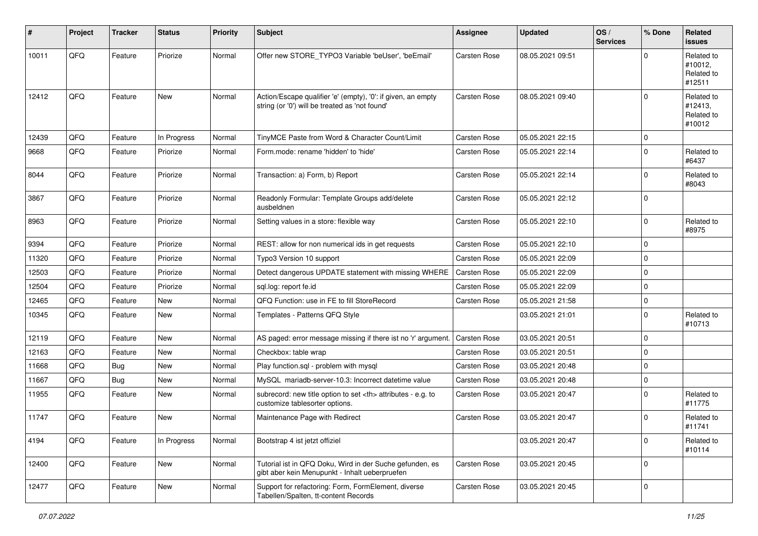| #     | Project | <b>Tracker</b> | <b>Status</b> | <b>Priority</b> | Subject                                                                                                        | <b>Assignee</b>                                        | <b>Updated</b>      | OS/<br><b>Services</b> | % Done      | Related<br><b>issues</b>                      |                      |
|-------|---------|----------------|---------------|-----------------|----------------------------------------------------------------------------------------------------------------|--------------------------------------------------------|---------------------|------------------------|-------------|-----------------------------------------------|----------------------|
| 10011 | QFQ     | Feature        | Priorize      | Normal          | Offer new STORE_TYPO3 Variable 'beUser', 'beEmail'                                                             | Carsten Rose                                           | 08.05.2021 09:51    |                        | $\Omega$    | Related to<br>#10012,<br>Related to<br>#12511 |                      |
| 12412 | QFQ     | Feature        | <b>New</b>    | Normal          | Action/Escape qualifier 'e' (empty), '0': if given, an empty<br>string (or '0') will be treated as 'not found' | Carsten Rose                                           | 08.05.2021 09:40    |                        | $\Omega$    | Related to<br>#12413,<br>Related to<br>#10012 |                      |
| 12439 | QFQ     | Feature        | In Progress   | Normal          | TinyMCE Paste from Word & Character Count/Limit                                                                | Carsten Rose                                           | 05.05.2021 22:15    |                        | $\Omega$    |                                               |                      |
| 9668  | QFQ     | Feature        | Priorize      | Normal          | Form.mode: rename 'hidden' to 'hide'                                                                           | Carsten Rose                                           | 05.05.2021 22:14    |                        | 0           | Related to<br>#6437                           |                      |
| 8044  | QFQ     | Feature        | Priorize      | Normal          | Transaction: a) Form, b) Report                                                                                | Carsten Rose                                           | 05.05.2021 22:14    |                        | 0           | Related to<br>#8043                           |                      |
| 3867  | QFQ     | Feature        | Priorize      | Normal          | Readonly Formular: Template Groups add/delete<br>ausbeldnen                                                    | Carsten Rose                                           | 05.05.2021 22:12    |                        | $\Omega$    |                                               |                      |
| 8963  | QFQ     | Feature        | Priorize      | Normal          | Setting values in a store: flexible way                                                                        | Carsten Rose                                           | 05.05.2021 22:10    |                        | 0           | Related to<br>#8975                           |                      |
| 9394  | QFQ     | Feature        | Priorize      | Normal          | REST: allow for non numerical ids in get requests                                                              | Carsten Rose                                           | 05.05.2021 22:10    |                        | 0           |                                               |                      |
| 11320 | QFQ     | Feature        | Priorize      | Normal          | Typo3 Version 10 support                                                                                       | Carsten Rose                                           | 05.05.2021 22:09    |                        | 0           |                                               |                      |
| 12503 | QFQ     | Feature        | Priorize      | Normal          | Detect dangerous UPDATE statement with missing WHERE                                                           | <b>Carsten Rose</b>                                    | 05.05.2021 22:09    |                        | 0           |                                               |                      |
| 12504 | QFQ     | Feature        | Priorize      | Normal          | sql.log: report fe.id                                                                                          | Carsten Rose                                           | 05.05.2021 22:09    |                        | 0           |                                               |                      |
| 12465 | QFQ     | Feature        | New           | Normal          | QFQ Function: use in FE to fill StoreRecord                                                                    | Carsten Rose                                           | 05.05.2021 21:58    |                        | 0           |                                               |                      |
| 10345 | QFQ     | Feature        | <b>New</b>    | Normal          | Templates - Patterns QFQ Style                                                                                 |                                                        | 03.05.2021 21:01    |                        | 0           | Related to<br>#10713                          |                      |
| 12119 | QFQ     | Feature        | New           | Normal          | AS paged: error message missing if there ist no 'r' argument.                                                  | Carsten Rose                                           | 03.05.2021 20:51    |                        | 0           |                                               |                      |
| 12163 | QFQ     | Feature        | <b>New</b>    | Normal          | Checkbox: table wrap                                                                                           | Carsten Rose                                           | 03.05.2021 20:51    |                        | 0           |                                               |                      |
| 11668 | QFQ     | Bug            | New           | Normal          | Play function.sql - problem with mysql                                                                         | Carsten Rose                                           | 03.05.2021 20:48    |                        | $\Omega$    |                                               |                      |
| 11667 | QFQ     | Bug            | <b>New</b>    | Normal          | MySQL mariadb-server-10.3: Incorrect datetime value                                                            | <b>Carsten Rose</b>                                    | 03.05.2021 20:48    |                        | 0           |                                               |                      |
| 11955 | QFQ     | Feature        | New           | Normal          | subrecord: new title option to set <th> attributes - e.g. to<br/>customize tablesorter options.</th>           | attributes - e.g. to<br>customize tablesorter options. | <b>Carsten Rose</b> | 03.05.2021 20:47       |             | $\mathbf 0$                                   | Related to<br>#11775 |
| 11747 | QFQ     | Feature        | New           | Normal          | Maintenance Page with Redirect                                                                                 | Carsten Rose                                           | 03.05.2021 20:47    |                        | 0           | Related to<br>#11741                          |                      |
| 4194  | QFQ     | Feature        | In Progress   | Normal          | Bootstrap 4 ist jetzt offiziel                                                                                 |                                                        | 03.05.2021 20:47    |                        | $\mathbf 0$ | Related to<br>#10114                          |                      |
| 12400 | QFQ     | Feature        | New           | Normal          | Tutorial ist in QFQ Doku, Wird in der Suche gefunden, es<br>gibt aber kein Menupunkt - Inhalt ueberpruefen     | <b>Carsten Rose</b>                                    | 03.05.2021 20:45    |                        | 0           |                                               |                      |
| 12477 | QFQ     | Feature        | New           | Normal          | Support for refactoring: Form, FormElement, diverse<br>Tabellen/Spalten, tt-content Records                    | Carsten Rose                                           | 03.05.2021 20:45    |                        | 0           |                                               |                      |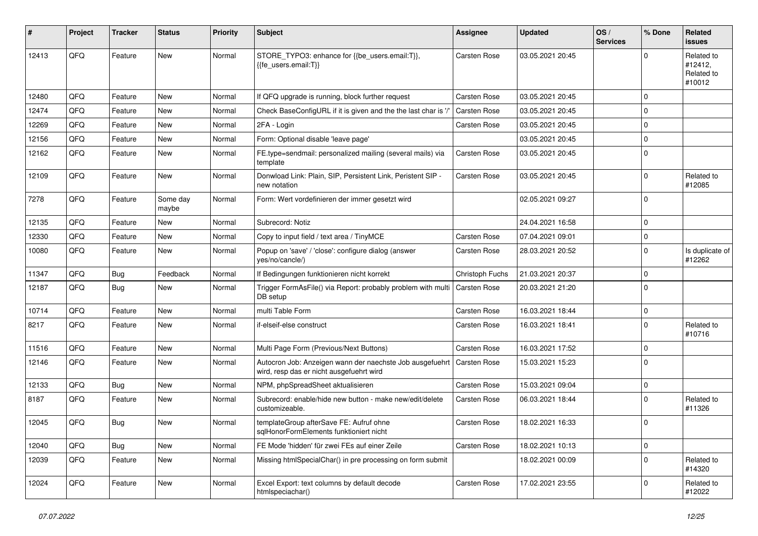| ∦     | Project | <b>Tracker</b> | <b>Status</b>     | <b>Priority</b> | Subject                                                                                              | Assignee            | <b>Updated</b>   | OS/<br><b>Services</b> | % Done      | Related<br>issues                             |
|-------|---------|----------------|-------------------|-----------------|------------------------------------------------------------------------------------------------------|---------------------|------------------|------------------------|-------------|-----------------------------------------------|
| 12413 | QFQ     | Feature        | <b>New</b>        | Normal          | STORE_TYPO3: enhance for {{be_users.email:T}},<br>{{fe users.email:T}}                               | Carsten Rose        | 03.05.2021 20:45 |                        | $\Omega$    | Related to<br>#12412,<br>Related to<br>#10012 |
| 12480 | QFQ     | Feature        | <b>New</b>        | Normal          | If QFQ upgrade is running, block further request                                                     | Carsten Rose        | 03.05.2021 20:45 |                        | $\Omega$    |                                               |
| 12474 | QFQ     | Feature        | New               | Normal          | Check BaseConfigURL if it is given and the the last char is '/'                                      | Carsten Rose        | 03.05.2021 20:45 |                        | $\mathbf 0$ |                                               |
| 12269 | QFQ     | Feature        | <b>New</b>        | Normal          | 2FA - Login                                                                                          | Carsten Rose        | 03.05.2021 20:45 |                        | 0           |                                               |
| 12156 | QFQ     | Feature        | New               | Normal          | Form: Optional disable 'leave page'                                                                  |                     | 03.05.2021 20:45 |                        | $\Omega$    |                                               |
| 12162 | QFQ     | Feature        | <b>New</b>        | Normal          | FE.type=sendmail: personalized mailing (several mails) via<br>template                               | Carsten Rose        | 03.05.2021 20:45 |                        | 0           |                                               |
| 12109 | QFQ     | Feature        | <b>New</b>        | Normal          | Donwload Link: Plain, SIP, Persistent Link, Peristent SIP -<br>new notation                          | Carsten Rose        | 03.05.2021 20:45 |                        | 0           | Related to<br>#12085                          |
| 7278  | QFQ     | Feature        | Some day<br>maybe | Normal          | Form: Wert vordefinieren der immer gesetzt wird                                                      |                     | 02.05.2021 09:27 |                        | $\Omega$    |                                               |
| 12135 | QFQ     | Feature        | New               | Normal          | Subrecord: Notiz                                                                                     |                     | 24.04.2021 16:58 |                        | 0           |                                               |
| 12330 | QFQ     | Feature        | New               | Normal          | Copy to input field / text area / TinyMCE                                                            | Carsten Rose        | 07.04.2021 09:01 |                        | 0           |                                               |
| 10080 | QFQ     | Feature        | New               | Normal          | Popup on 'save' / 'close': configure dialog (answer<br>yes/no/cancle/)                               | Carsten Rose        | 28.03.2021 20:52 |                        | 0           | Is duplicate of<br>#12262                     |
| 11347 | QFQ     | <b>Bug</b>     | Feedback          | Normal          | If Bedingungen funktionieren nicht korrekt                                                           | Christoph Fuchs     | 21.03.2021 20:37 |                        | 0           |                                               |
| 12187 | QFQ     | Bug            | <b>New</b>        | Normal          | Trigger FormAsFile() via Report: probably problem with multi<br>DB setup                             | <b>Carsten Rose</b> | 20.03.2021 21:20 |                        | $\mathbf 0$ |                                               |
| 10714 | QFQ     | Feature        | <b>New</b>        | Normal          | multi Table Form                                                                                     | Carsten Rose        | 16.03.2021 18:44 |                        | 0           |                                               |
| 8217  | QFQ     | Feature        | <b>New</b>        | Normal          | if-elseif-else construct                                                                             | Carsten Rose        | 16.03.2021 18:41 |                        | $\Omega$    | Related to<br>#10716                          |
| 11516 | QFQ     | Feature        | <b>New</b>        | Normal          | Multi Page Form (Previous/Next Buttons)                                                              | Carsten Rose        | 16.03.2021 17:52 |                        | 0           |                                               |
| 12146 | QFQ     | Feature        | New               | Normal          | Autocron Job: Anzeigen wann der naechste Job ausgefuehrt<br>wird, resp das er nicht ausgefuehrt wird | Carsten Rose        | 15.03.2021 15:23 |                        | $\mathbf 0$ |                                               |
| 12133 | QFQ     | Bug            | <b>New</b>        | Normal          | NPM, phpSpreadSheet aktualisieren                                                                    | Carsten Rose        | 15.03.2021 09:04 |                        | 0           |                                               |
| 8187  | QFQ     | Feature        | New               | Normal          | Subrecord: enable/hide new button - make new/edit/delete<br>customizeable.                           | Carsten Rose        | 06.03.2021 18:44 |                        | $\mathbf 0$ | Related to<br>#11326                          |
| 12045 | QFQ     | Bug            | <b>New</b>        | Normal          | templateGroup afterSave FE: Aufruf ohne<br>sqlHonorFormElements funktioniert nicht                   | Carsten Rose        | 18.02.2021 16:33 |                        | $\mathbf 0$ |                                               |
| 12040 | QFQ     | <b>Bug</b>     | New               | Normal          | FE Mode 'hidden' für zwei FEs auf einer Zeile                                                        | Carsten Rose        | 18.02.2021 10:13 |                        | 0           |                                               |
| 12039 | QFQ     | Feature        | New               | Normal          | Missing htmlSpecialChar() in pre processing on form submit                                           |                     | 18.02.2021 00:09 |                        | 0           | Related to<br>#14320                          |
| 12024 | QFQ     | Feature        | New               | Normal          | Excel Export: text columns by default decode<br>htmlspeciachar()                                     | Carsten Rose        | 17.02.2021 23:55 |                        | 0           | Related to<br>#12022                          |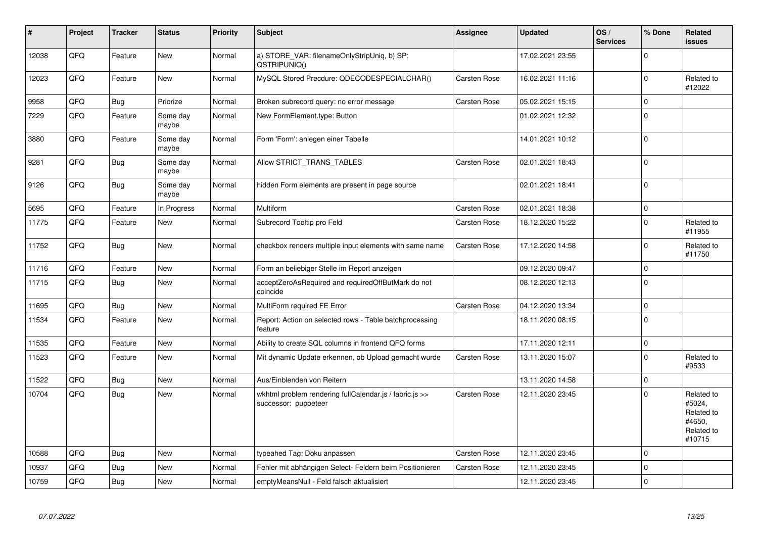| #     | Project | <b>Tracker</b> | <b>Status</b>     | <b>Priority</b> | <b>Subject</b>                                                                  | Assignee            | <b>Updated</b>   | OS/<br><b>Services</b> | % Done      | Related<br>issues                                                    |
|-------|---------|----------------|-------------------|-----------------|---------------------------------------------------------------------------------|---------------------|------------------|------------------------|-------------|----------------------------------------------------------------------|
| 12038 | QFQ     | Feature        | <b>New</b>        | Normal          | a) STORE_VAR: filenameOnlyStripUniq, b) SP:<br>QSTRIPUNIQ()                     |                     | 17.02.2021 23:55 |                        | $\Omega$    |                                                                      |
| 12023 | QFQ     | Feature        | <b>New</b>        | Normal          | MySQL Stored Precdure: QDECODESPECIALCHAR()                                     | Carsten Rose        | 16.02.2021 11:16 |                        | $\mathbf 0$ | Related to<br>#12022                                                 |
| 9958  | QFQ     | <b>Bug</b>     | Priorize          | Normal          | Broken subrecord query: no error message                                        | <b>Carsten Rose</b> | 05.02.2021 15:15 |                        | $\pmb{0}$   |                                                                      |
| 7229  | QFQ     | Feature        | Some day<br>maybe | Normal          | New FormElement.type: Button                                                    |                     | 01.02.2021 12:32 |                        | $\Omega$    |                                                                      |
| 3880  | QFQ     | Feature        | Some day<br>maybe | Normal          | Form 'Form': anlegen einer Tabelle                                              |                     | 14.01.2021 10:12 |                        | $\mathbf 0$ |                                                                      |
| 9281  | QFQ     | Bug            | Some day<br>maybe | Normal          | Allow STRICT_TRANS_TABLES                                                       | Carsten Rose        | 02.01.2021 18:43 |                        | $\mathbf 0$ |                                                                      |
| 9126  | QFQ     | <b>Bug</b>     | Some day<br>maybe | Normal          | hidden Form elements are present in page source                                 |                     | 02.01.2021 18:41 |                        | $\mathbf 0$ |                                                                      |
| 5695  | QFQ     | Feature        | In Progress       | Normal          | Multiform                                                                       | Carsten Rose        | 02.01.2021 18:38 |                        | 0           |                                                                      |
| 11775 | QFQ     | Feature        | <b>New</b>        | Normal          | Subrecord Tooltip pro Feld                                                      | Carsten Rose        | 18.12.2020 15:22 |                        | $\pmb{0}$   | Related to<br>#11955                                                 |
| 11752 | QFQ     | <b>Bug</b>     | New               | Normal          | checkbox renders multiple input elements with same name                         | Carsten Rose        | 17.12.2020 14:58 |                        | $\pmb{0}$   | Related to<br>#11750                                                 |
| 11716 | QFQ     | Feature        | New               | Normal          | Form an beliebiger Stelle im Report anzeigen                                    |                     | 09.12.2020 09:47 |                        | 0           |                                                                      |
| 11715 | QFQ     | Bug            | <b>New</b>        | Normal          | acceptZeroAsRequired and requiredOffButMark do not<br>coincide                  |                     | 08.12.2020 12:13 |                        | $\mathbf 0$ |                                                                      |
| 11695 | QFQ     | Bug            | <b>New</b>        | Normal          | MultiForm required FE Error                                                     | Carsten Rose        | 04.12.2020 13:34 |                        | $\mathbf 0$ |                                                                      |
| 11534 | QFQ     | Feature        | New               | Normal          | Report: Action on selected rows - Table batchprocessing<br>feature              |                     | 18.11.2020 08:15 |                        | $\mathbf 0$ |                                                                      |
| 11535 | QFQ     | Feature        | <b>New</b>        | Normal          | Ability to create SQL columns in frontend QFQ forms                             |                     | 17.11.2020 12:11 |                        | $\mathbf 0$ |                                                                      |
| 11523 | QFQ     | Feature        | New               | Normal          | Mit dynamic Update erkennen, ob Upload gemacht wurde                            | Carsten Rose        | 13.11.2020 15:07 |                        | $\pmb{0}$   | Related to<br>#9533                                                  |
| 11522 | QFQ     | Bug            | <b>New</b>        | Normal          | Aus/Einblenden von Reitern                                                      |                     | 13.11.2020 14:58 |                        | $\mathbf 0$ |                                                                      |
| 10704 | QFQ     | <b>Bug</b>     | New               | Normal          | wkhtml problem rendering fullCalendar.js / fabric.js >><br>successor: puppeteer | Carsten Rose        | 12.11.2020 23:45 |                        | $\Omega$    | Related to<br>#5024,<br>Related to<br>#4650,<br>Related to<br>#10715 |
| 10588 | QFQ     | Bug            | New               | Normal          | typeahed Tag: Doku anpassen                                                     | Carsten Rose        | 12.11.2020 23:45 |                        | $\Omega$    |                                                                      |
| 10937 | QFQ     | Bug            | <b>New</b>        | Normal          | Fehler mit abhängigen Select- Feldern beim Positionieren                        | <b>Carsten Rose</b> | 12.11.2020 23:45 |                        | $\pmb{0}$   |                                                                      |
| 10759 | QFQ     | <b>Bug</b>     | <b>New</b>        | Normal          | emptyMeansNull - Feld falsch aktualisiert                                       |                     | 12.11.2020 23:45 |                        | 0           |                                                                      |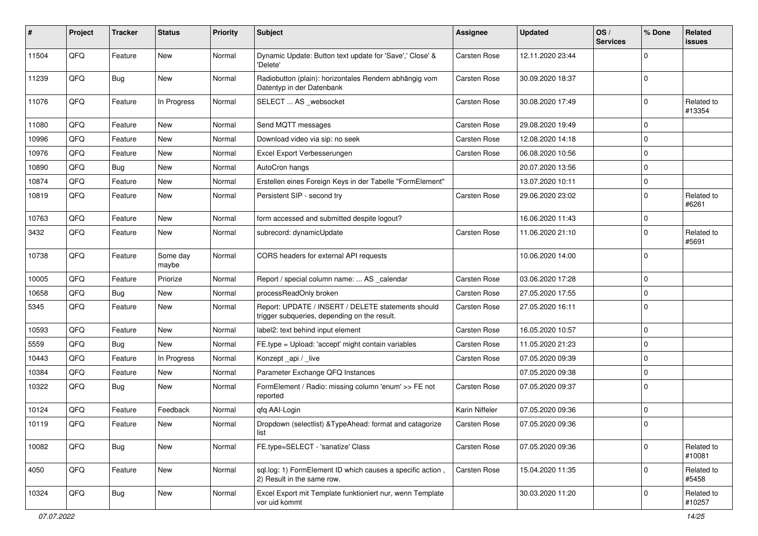| #     | Project | <b>Tracker</b> | <b>Status</b>     | <b>Priority</b> | <b>Subject</b>                                                                                     | <b>Assignee</b>     | <b>Updated</b>   | OS/<br><b>Services</b> | % Done      | Related<br>issues    |
|-------|---------|----------------|-------------------|-----------------|----------------------------------------------------------------------------------------------------|---------------------|------------------|------------------------|-------------|----------------------|
| 11504 | QFQ     | Feature        | <b>New</b>        | Normal          | Dynamic Update: Button text update for 'Save',' Close' &<br>'Delete'                               | Carsten Rose        | 12.11.2020 23:44 |                        | $\Omega$    |                      |
| 11239 | QFQ     | <b>Bug</b>     | New               | Normal          | Radiobutton (plain): horizontales Rendern abhängig vom<br>Datentyp in der Datenbank                | Carsten Rose        | 30.09.2020 18:37 |                        | $\mathbf 0$ |                      |
| 11076 | QFQ     | Feature        | In Progress       | Normal          | SELECT  AS _websocket                                                                              | Carsten Rose        | 30.08.2020 17:49 |                        | $\mathbf 0$ | Related to<br>#13354 |
| 11080 | QFQ     | Feature        | <b>New</b>        | Normal          | Send MQTT messages                                                                                 | Carsten Rose        | 29.08.2020 19:49 |                        | 0           |                      |
| 10996 | QFQ     | Feature        | New               | Normal          | Download video via sip: no seek                                                                    | Carsten Rose        | 12.08.2020 14:18 |                        | $\Omega$    |                      |
| 10976 | QFQ     | Feature        | <b>New</b>        | Normal          | Excel Export Verbesserungen                                                                        | Carsten Rose        | 06.08.2020 10:56 |                        | $\mathbf 0$ |                      |
| 10890 | QFQ     | <b>Bug</b>     | <b>New</b>        | Normal          | AutoCron hangs                                                                                     |                     | 20.07.2020 13:56 |                        | 0           |                      |
| 10874 | QFQ     | Feature        | New               | Normal          | Erstellen eines Foreign Keys in der Tabelle "FormElement"                                          |                     | 13.07.2020 10:11 |                        | 0           |                      |
| 10819 | QFQ     | Feature        | <b>New</b>        | Normal          | Persistent SIP - second try                                                                        | Carsten Rose        | 29.06.2020 23:02 |                        | 0           | Related to<br>#6261  |
| 10763 | QFQ     | Feature        | New               | Normal          | form accessed and submitted despite logout?                                                        |                     | 16.06.2020 11:43 |                        | $\mathbf 0$ |                      |
| 3432  | QFQ     | Feature        | New               | Normal          | subrecord: dynamicUpdate                                                                           | Carsten Rose        | 11.06.2020 21:10 |                        | 0           | Related to<br>#5691  |
| 10738 | QFQ     | Feature        | Some day<br>maybe | Normal          | CORS headers for external API requests                                                             |                     | 10.06.2020 14:00 |                        | $\Omega$    |                      |
| 10005 | QFQ     | Feature        | Priorize          | Normal          | Report / special column name:  AS _calendar                                                        | Carsten Rose        | 03.06.2020 17:28 |                        | $\mathbf 0$ |                      |
| 10658 | QFQ     | Bug            | <b>New</b>        | Normal          | processReadOnly broken                                                                             | <b>Carsten Rose</b> | 27.05.2020 17:55 |                        | 0           |                      |
| 5345  | QFQ     | Feature        | <b>New</b>        | Normal          | Report: UPDATE / INSERT / DELETE statements should<br>trigger subqueries, depending on the result. | Carsten Rose        | 27.05.2020 16:11 |                        | $\Omega$    |                      |
| 10593 | QFQ     | Feature        | <b>New</b>        | Normal          | label2: text behind input element                                                                  | Carsten Rose        | 16.05.2020 10:57 |                        | 0           |                      |
| 5559  | QFQ     | <b>Bug</b>     | New               | Normal          | FE.type = Upload: 'accept' might contain variables                                                 | Carsten Rose        | 11.05.2020 21:23 |                        | $\Omega$    |                      |
| 10443 | QFQ     | Feature        | In Progress       | Normal          | Konzept_api / _live                                                                                | Carsten Rose        | 07.05.2020 09:39 |                        | $\mathbf 0$ |                      |
| 10384 | QFQ     | Feature        | <b>New</b>        | Normal          | Parameter Exchange QFQ Instances                                                                   |                     | 07.05.2020 09:38 |                        | 0           |                      |
| 10322 | QFQ     | <b>Bug</b>     | New               | Normal          | FormElement / Radio: missing column 'enum' >> FE not<br>reported                                   | Carsten Rose        | 07.05.2020 09:37 |                        | $\Omega$    |                      |
| 10124 | QFQ     | Feature        | Feedback          | Normal          | qfq AAI-Login                                                                                      | Karin Niffeler      | 07.05.2020 09:36 |                        | $\mathbf 0$ |                      |
| 10119 | QFQ     | Feature        | New               | Normal          | Dropdown (selectlist) & TypeAhead: format and catagorize<br>list                                   | Carsten Rose        | 07.05.2020 09:36 |                        | $\mathbf 0$ |                      |
| 10082 | QFQ     | Bug            | New               | Normal          | FE.type=SELECT - 'sanatize' Class                                                                  | Carsten Rose        | 07.05.2020 09:36 |                        | 0           | Related to<br>#10081 |
| 4050  | QFQ     | Feature        | New               | Normal          | sql.log: 1) FormElement ID which causes a specific action,<br>2) Result in the same row.           | Carsten Rose        | 15.04.2020 11:35 |                        | $\mathbf 0$ | Related to<br>#5458  |
| 10324 | QFQ     | Bug            | New               | Normal          | Excel Export mit Template funktioniert nur, wenn Template<br>vor uid kommt                         |                     | 30.03.2020 11:20 |                        | $\mathbf 0$ | Related to<br>#10257 |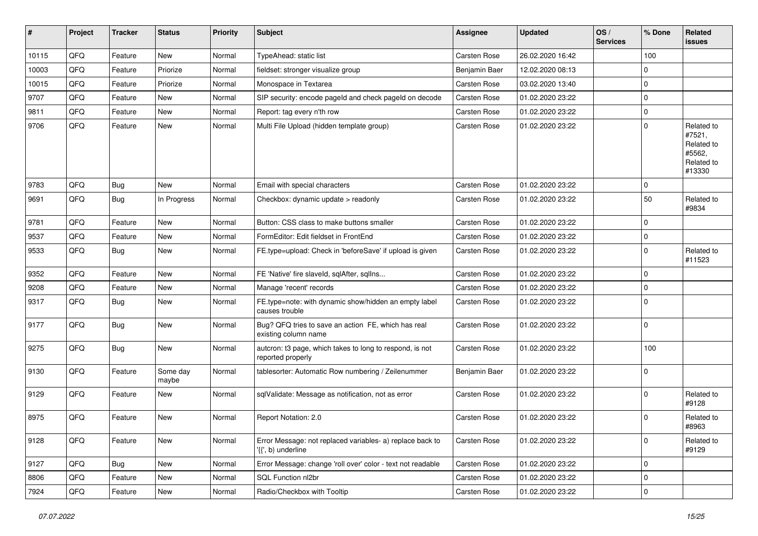| ∦     | Project | <b>Tracker</b> | <b>Status</b>     | <b>Priority</b> | <b>Subject</b>                                                                 | <b>Assignee</b>     | <b>Updated</b>   | OS/<br><b>Services</b> | % Done       | Related<br>issues                                                    |
|-------|---------|----------------|-------------------|-----------------|--------------------------------------------------------------------------------|---------------------|------------------|------------------------|--------------|----------------------------------------------------------------------|
| 10115 | QFQ     | Feature        | <b>New</b>        | Normal          | TypeAhead: static list                                                         | Carsten Rose        | 26.02.2020 16:42 |                        | 100          |                                                                      |
| 10003 | QFQ     | Feature        | Priorize          | Normal          | fieldset: stronger visualize group                                             | Benjamin Baer       | 12.02.2020 08:13 |                        | $\mathbf 0$  |                                                                      |
| 10015 | QFQ     | Feature        | Priorize          | Normal          | Monospace in Textarea                                                          | Carsten Rose        | 03.02.2020 13:40 |                        | $\Omega$     |                                                                      |
| 9707  | QFQ     | Feature        | New               | Normal          | SIP security: encode pageld and check pageld on decode                         | Carsten Rose        | 01.02.2020 23:22 |                        | 0            |                                                                      |
| 9811  | QFQ     | Feature        | New               | Normal          | Report: tag every n'th row                                                     | <b>Carsten Rose</b> | 01.02.2020 23:22 |                        | 0            |                                                                      |
| 9706  | QFQ     | Feature        | New               | Normal          | Multi File Upload (hidden template group)                                      | Carsten Rose        | 01.02.2020 23:22 |                        | $\Omega$     | Related to<br>#7521,<br>Related to<br>#5562,<br>Related to<br>#13330 |
| 9783  | QFQ     | Bug            | <b>New</b>        | Normal          | Email with special characters                                                  | <b>Carsten Rose</b> | 01.02.2020 23:22 |                        | 0            |                                                                      |
| 9691  | QFQ     | Bug            | In Progress       | Normal          | Checkbox: dynamic update > readonly                                            | <b>Carsten Rose</b> | 01.02.2020 23:22 |                        | 50           | Related to<br>#9834                                                  |
| 9781  | QFQ     | Feature        | New               | Normal          | Button: CSS class to make buttons smaller                                      | Carsten Rose        | 01.02.2020 23:22 |                        | 0            |                                                                      |
| 9537  | QFQ     | Feature        | New               | Normal          | FormEditor: Edit fieldset in FrontEnd                                          | Carsten Rose        | 01.02.2020 23:22 |                        | 0            |                                                                      |
| 9533  | QFQ     | Bug            | New               | Normal          | FE.type=upload: Check in 'beforeSave' if upload is given                       | Carsten Rose        | 01.02.2020 23:22 |                        | $\Omega$     | Related to<br>#11523                                                 |
| 9352  | QFQ     | Feature        | <b>New</b>        | Normal          | FE 'Native' fire slaveld, sqlAfter, sqlIns                                     | <b>Carsten Rose</b> | 01.02.2020 23:22 |                        | 0            |                                                                      |
| 9208  | QFQ     | Feature        | <b>New</b>        | Normal          | Manage 'recent' records                                                        | <b>Carsten Rose</b> | 01.02.2020 23:22 |                        | 0            |                                                                      |
| 9317  | QFQ     | Bug            | New               | Normal          | FE.type=note: with dynamic show/hidden an empty label<br>causes trouble        | <b>Carsten Rose</b> | 01.02.2020 23:22 |                        | $\mathbf 0$  |                                                                      |
| 9177  | QFQ     | <b>Bug</b>     | <b>New</b>        | Normal          | Bug? QFQ tries to save an action FE, which has real<br>existing column name    | <b>Carsten Rose</b> | 01.02.2020 23:22 |                        | $\mathbf{0}$ |                                                                      |
| 9275  | QFQ     | Bug            | New               | Normal          | autcron: t3 page, which takes to long to respond, is not<br>reported properly  | <b>Carsten Rose</b> | 01.02.2020 23:22 |                        | 100          |                                                                      |
| 9130  | QFQ     | Feature        | Some day<br>maybe | Normal          | tablesorter: Automatic Row numbering / Zeilenummer                             | Benjamin Baer       | 01.02.2020 23:22 |                        | 0            |                                                                      |
| 9129  | QFQ     | Feature        | <b>New</b>        | Normal          | sqlValidate: Message as notification, not as error                             | Carsten Rose        | 01.02.2020 23:22 |                        | 0            | Related to<br>#9128                                                  |
| 8975  | QFQ     | Feature        | <b>New</b>        | Normal          | Report Notation: 2.0                                                           | <b>Carsten Rose</b> | 01.02.2020 23:22 |                        | $\Omega$     | Related to<br>#8963                                                  |
| 9128  | QFQ     | Feature        | New               | Normal          | Error Message: not replaced variables- a) replace back to<br>{{', b) underline | Carsten Rose        | 01.02.2020 23:22 |                        | $\mathbf 0$  | Related to<br>#9129                                                  |
| 9127  | QFQ     | <b>Bug</b>     | New               | Normal          | Error Message: change 'roll over' color - text not readable                    | Carsten Rose        | 01.02.2020 23:22 |                        | $\mathbf 0$  |                                                                      |
| 8806  | QFQ     | Feature        | New               | Normal          | SQL Function nl2br                                                             | Carsten Rose        | 01.02.2020 23:22 |                        | $\pmb{0}$    |                                                                      |
| 7924  | QFQ     | Feature        | New               | Normal          | Radio/Checkbox with Tooltip                                                    | Carsten Rose        | 01.02.2020 23:22 |                        | $\pmb{0}$    |                                                                      |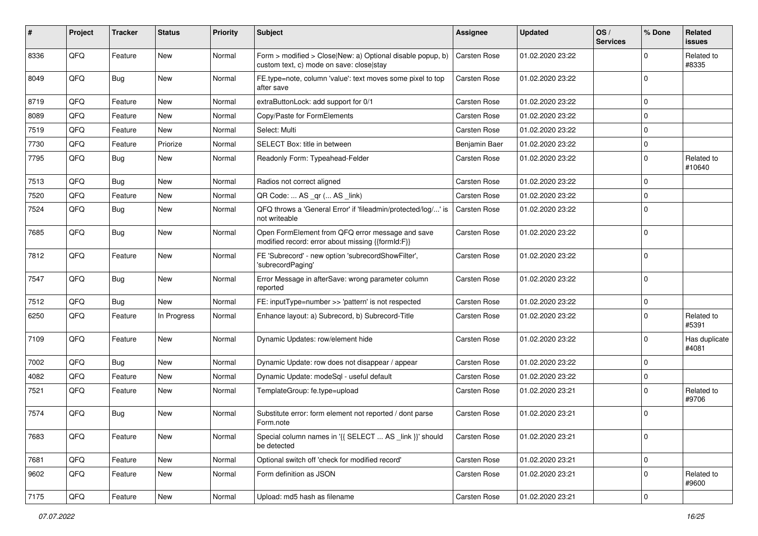| #    | Project | <b>Tracker</b> | <b>Status</b> | <b>Priority</b> | Subject                                                                                                | <b>Assignee</b>     | <b>Updated</b>   | OS/<br><b>Services</b> | % Done      | Related<br><b>issues</b> |
|------|---------|----------------|---------------|-----------------|--------------------------------------------------------------------------------------------------------|---------------------|------------------|------------------------|-------------|--------------------------|
| 8336 | QFQ     | Feature        | New           | Normal          | Form > modified > Close New: a) Optional disable popup, b)<br>custom text, c) mode on save: close stay | Carsten Rose        | 01.02.2020 23:22 |                        | 0           | Related to<br>#8335      |
| 8049 | QFQ     | Bug            | New           | Normal          | FE.type=note, column 'value': text moves some pixel to top<br>after save                               | Carsten Rose        | 01.02.2020 23:22 |                        | $\Omega$    |                          |
| 8719 | QFQ     | Feature        | New           | Normal          | extraButtonLock: add support for 0/1                                                                   | Carsten Rose        | 01.02.2020 23:22 |                        | 0           |                          |
| 8089 | QFQ     | Feature        | New           | Normal          | Copy/Paste for FormElements                                                                            | Carsten Rose        | 01.02.2020 23:22 |                        | $\Omega$    |                          |
| 7519 | QFQ     | Feature        | New           | Normal          | Select: Multi                                                                                          | <b>Carsten Rose</b> | 01.02.2020 23:22 |                        | 0           |                          |
| 7730 | QFQ     | Feature        | Priorize      | Normal          | SELECT Box: title in between                                                                           | Benjamin Baer       | 01.02.2020 23:22 |                        | 0           |                          |
| 7795 | QFQ     | Bug            | New           | Normal          | Readonly Form: Typeahead-Felder                                                                        | Carsten Rose        | 01.02.2020 23:22 |                        | 0           | Related to<br>#10640     |
| 7513 | QFQ     | Bug            | <b>New</b>    | Normal          | Radios not correct aligned                                                                             | Carsten Rose        | 01.02.2020 23:22 |                        | 0           |                          |
| 7520 | QFQ     | Feature        | <b>New</b>    | Normal          | QR Code:  AS _qr ( AS _link)                                                                           | <b>Carsten Rose</b> | 01.02.2020 23:22 |                        | $\Omega$    |                          |
| 7524 | QFQ     | <b>Bug</b>     | New           | Normal          | QFQ throws a 'General Error' if 'fileadmin/protected/log/' is<br>not writeable                         | Carsten Rose        | 01.02.2020 23:22 |                        | 0           |                          |
| 7685 | QFQ     | Bug            | New           | Normal          | Open FormElement from QFQ error message and save<br>modified record: error about missing {{formId:F}}  | Carsten Rose        | 01.02.2020 23:22 |                        | 0           |                          |
| 7812 | QFQ     | Feature        | New           | Normal          | FE 'Subrecord' - new option 'subrecordShowFilter',<br>'subrecordPaging'                                | Carsten Rose        | 01.02.2020 23:22 |                        | 0           |                          |
| 7547 | QFQ     | Bug            | <b>New</b>    | Normal          | Error Message in afterSave: wrong parameter column<br>reported                                         | Carsten Rose        | 01.02.2020 23:22 |                        | $\Omega$    |                          |
| 7512 | QFQ     | Bug            | <b>New</b>    | Normal          | FE: inputType=number >> 'pattern' is not respected                                                     | <b>Carsten Rose</b> | 01.02.2020 23:22 |                        | 0           |                          |
| 6250 | QFQ     | Feature        | In Progress   | Normal          | Enhance layout: a) Subrecord, b) Subrecord-Title                                                       | <b>Carsten Rose</b> | 01.02.2020 23:22 |                        | $\Omega$    | Related to<br>#5391      |
| 7109 | QFQ     | Feature        | New           | Normal          | Dynamic Updates: row/element hide                                                                      | Carsten Rose        | 01.02.2020 23:22 |                        | $\mathbf 0$ | Has duplicate<br>#4081   |
| 7002 | QFQ     | Bug            | New           | Normal          | Dynamic Update: row does not disappear / appear                                                        | Carsten Rose        | 01.02.2020 23:22 |                        | 0           |                          |
| 4082 | QFQ     | Feature        | <b>New</b>    | Normal          | Dynamic Update: modeSql - useful default                                                               | Carsten Rose        | 01.02.2020 23:22 |                        | 0           |                          |
| 7521 | QFQ     | Feature        | New           | Normal          | TemplateGroup: fe.type=upload                                                                          | Carsten Rose        | 01.02.2020 23:21 |                        | 0           | Related to<br>#9706      |
| 7574 | QFQ     | Bug            | New           | Normal          | Substitute error: form element not reported / dont parse<br>Form.note                                  | Carsten Rose        | 01.02.2020 23:21 |                        | 0           |                          |
| 7683 | QFQ     | Feature        | New           | Normal          | Special column names in '{{ SELECT  AS _link }}' should<br>be detected                                 | Carsten Rose        | 01.02.2020 23:21 |                        | 0           |                          |
| 7681 | QFQ     | Feature        | New           | Normal          | Optional switch off 'check for modified record'                                                        | Carsten Rose        | 01.02.2020 23:21 |                        | 0           |                          |
| 9602 | QFQ     | Feature        | New           | Normal          | Form definition as JSON                                                                                | Carsten Rose        | 01.02.2020 23:21 |                        | 0           | Related to<br>#9600      |
| 7175 | QFG     | Feature        | New           | Normal          | Upload: md5 hash as filename                                                                           | Carsten Rose        | 01.02.2020 23:21 |                        | 0           |                          |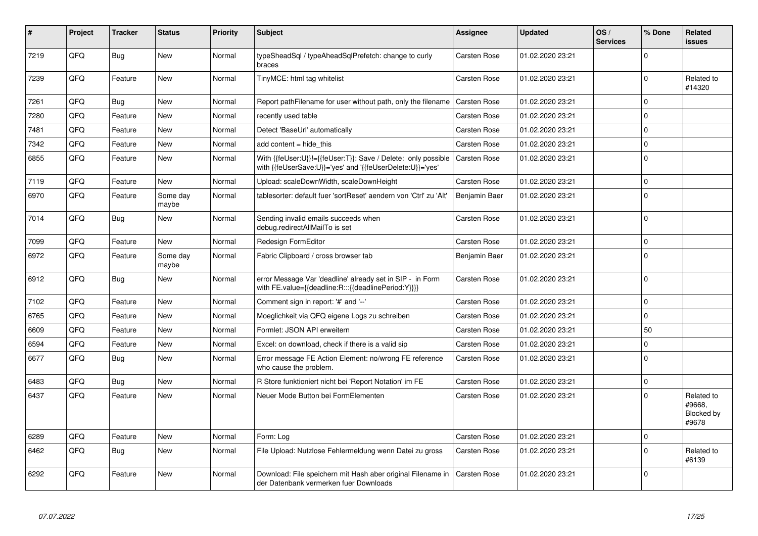| #    | Project | <b>Tracker</b> | <b>Status</b>     | <b>Priority</b> | <b>Subject</b>                                                                                                             | <b>Assignee</b> | <b>Updated</b>   | OS/<br><b>Services</b> | % Done      | Related<br>issues                           |
|------|---------|----------------|-------------------|-----------------|----------------------------------------------------------------------------------------------------------------------------|-----------------|------------------|------------------------|-------------|---------------------------------------------|
| 7219 | QFQ     | <b>Bug</b>     | <b>New</b>        | Normal          | typeSheadSql / typeAheadSqlPrefetch: change to curly<br>braces                                                             | Carsten Rose    | 01.02.2020 23:21 |                        | $\Omega$    |                                             |
| 7239 | QFQ     | Feature        | <b>New</b>        | Normal          | TinyMCE: html tag whitelist                                                                                                | Carsten Rose    | 01.02.2020 23:21 |                        | $\Omega$    | Related to<br>#14320                        |
| 7261 | QFQ     | <b>Bug</b>     | <b>New</b>        | Normal          | Report pathFilename for user without path, only the filename                                                               | Carsten Rose    | 01.02.2020 23:21 |                        | $\Omega$    |                                             |
| 7280 | QFQ     | Feature        | <b>New</b>        | Normal          | recently used table                                                                                                        | Carsten Rose    | 01.02.2020 23:21 |                        | 0           |                                             |
| 7481 | QFQ     | Feature        | <b>New</b>        | Normal          | Detect 'BaseUrl' automatically                                                                                             | Carsten Rose    | 01.02.2020 23:21 |                        | $\Omega$    |                                             |
| 7342 | QFQ     | Feature        | New               | Normal          | add content = hide this                                                                                                    | Carsten Rose    | 01.02.2020 23:21 |                        | $\mathbf 0$ |                                             |
| 6855 | QFQ     | Feature        | New               | Normal          | With {{feUser:U}}!={{feUser:T}}: Save / Delete: only possible<br>with {{feUserSave:U}}='yes' and '{{feUserDelete:U}}='yes' | Carsten Rose    | 01.02.2020 23:21 |                        | $\Omega$    |                                             |
| 7119 | QFQ     | Feature        | New               | Normal          | Upload: scaleDownWidth, scaleDownHeight                                                                                    | Carsten Rose    | 01.02.2020 23:21 |                        | 0           |                                             |
| 6970 | QFQ     | Feature        | Some day<br>maybe | Normal          | tablesorter: default fuer 'sortReset' aendern von 'Ctrl' zu 'Alt'                                                          | Benjamin Baer   | 01.02.2020 23:21 |                        | $\Omega$    |                                             |
| 7014 | QFQ     | Bug            | New               | Normal          | Sending invalid emails succeeds when<br>debug.redirectAllMailTo is set                                                     | Carsten Rose    | 01.02.2020 23:21 |                        | $\Omega$    |                                             |
| 7099 | QFQ     | Feature        | <b>New</b>        | Normal          | Redesign FormEditor                                                                                                        | Carsten Rose    | 01.02.2020 23:21 |                        | $\Omega$    |                                             |
| 6972 | QFQ     | Feature        | Some day<br>maybe | Normal          | Fabric Clipboard / cross browser tab                                                                                       | Benjamin Baer   | 01.02.2020 23:21 |                        | $\Omega$    |                                             |
| 6912 | QFQ     | Bug            | <b>New</b>        | Normal          | error Message Var 'deadline' already set in SIP - in Form<br>with FE.value={{deadline:R:::{{deadlinePeriod:Y}}}}           | Carsten Rose    | 01.02.2020 23:21 |                        | $\Omega$    |                                             |
| 7102 | QFQ     | Feature        | <b>New</b>        | Normal          | Comment sign in report: '#' and '--'                                                                                       | Carsten Rose    | 01.02.2020 23:21 |                        | 0           |                                             |
| 6765 | QFQ     | Feature        | <b>New</b>        | Normal          | Moeglichkeit via QFQ eigene Logs zu schreiben                                                                              | Carsten Rose    | 01.02.2020 23:21 |                        | $\Omega$    |                                             |
| 6609 | QFQ     | Feature        | <b>New</b>        | Normal          | Formlet: JSON API erweitern                                                                                                | Carsten Rose    | 01.02.2020 23:21 |                        | 50          |                                             |
| 6594 | QFQ     | Feature        | New               | Normal          | Excel: on download, check if there is a valid sip                                                                          | Carsten Rose    | 01.02.2020 23:21 |                        | 0           |                                             |
| 6677 | QFQ     | Bug            | New               | Normal          | Error message FE Action Element: no/wrong FE reference<br>who cause the problem.                                           | Carsten Rose    | 01.02.2020 23:21 |                        | $\Omega$    |                                             |
| 6483 | QFQ     | Bug            | <b>New</b>        | Normal          | R Store funktioniert nicht bei 'Report Notation' im FE                                                                     | Carsten Rose    | 01.02.2020 23:21 |                        | $\Omega$    |                                             |
| 6437 | QFQ     | Feature        | New               | Normal          | Neuer Mode Button bei FormElementen                                                                                        | Carsten Rose    | 01.02.2020 23:21 |                        | $\Omega$    | Related to<br>#9668,<br>Blocked by<br>#9678 |
| 6289 | QFQ     | Feature        | New               | Normal          | Form: Log                                                                                                                  | Carsten Rose    | 01.02.2020 23:21 |                        | 0           |                                             |
| 6462 | QFQ     | <b>Bug</b>     | <b>New</b>        | Normal          | File Upload: Nutzlose Fehlermeldung wenn Datei zu gross                                                                    | Carsten Rose    | 01.02.2020 23:21 |                        | $\Omega$    | Related to<br>#6139                         |
| 6292 | QFQ     | Feature        | New               | Normal          | Download: File speichern mit Hash aber original Filename in<br>der Datenbank vermerken fuer Downloads                      | Carsten Rose    | 01.02.2020 23:21 |                        | $\Omega$    |                                             |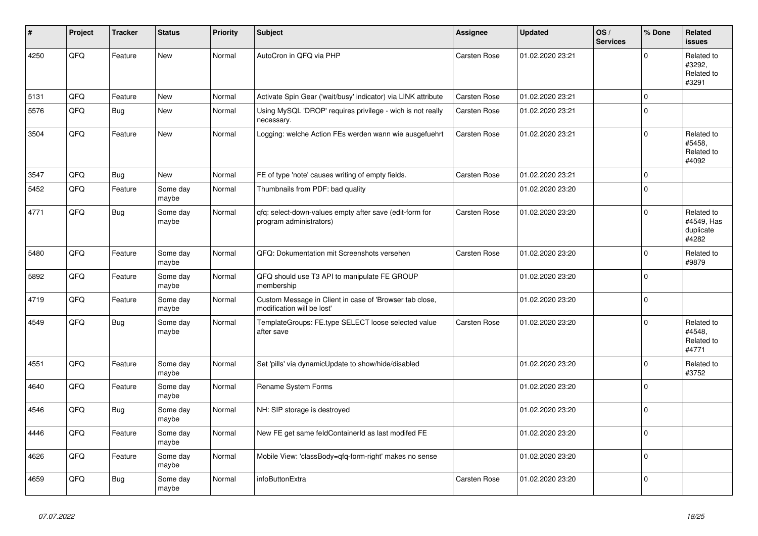| #    | Project | <b>Tracker</b> | <b>Status</b>     | <b>Priority</b> | <b>Subject</b>                                                                        | Assignee            | <b>Updated</b>   | OS/<br><b>Services</b> | % Done         | Related<br><b>issues</b>                       |
|------|---------|----------------|-------------------|-----------------|---------------------------------------------------------------------------------------|---------------------|------------------|------------------------|----------------|------------------------------------------------|
| 4250 | QFQ     | Feature        | <b>New</b>        | Normal          | AutoCron in QFQ via PHP                                                               | Carsten Rose        | 01.02.2020 23:21 |                        | $\Omega$       | Related to<br>#3292.<br>Related to<br>#3291    |
| 5131 | QFQ     | Feature        | <b>New</b>        | Normal          | Activate Spin Gear ('wait/busy' indicator) via LINK attribute                         | <b>Carsten Rose</b> | 01.02.2020 23:21 |                        | $\pmb{0}$      |                                                |
| 5576 | QFQ     | Bug            | <b>New</b>        | Normal          | Using MySQL 'DROP' requires privilege - wich is not really<br>necessary.              | Carsten Rose        | 01.02.2020 23:21 |                        | $\overline{0}$ |                                                |
| 3504 | QFQ     | Feature        | <b>New</b>        | Normal          | Logging: welche Action FEs werden wann wie ausgefuehrt                                | <b>Carsten Rose</b> | 01.02.2020 23:21 |                        | $\mathbf 0$    | Related to<br>#5458,<br>Related to<br>#4092    |
| 3547 | QFQ     | <b>Bug</b>     | <b>New</b>        | Normal          | FE of type 'note' causes writing of empty fields.                                     | <b>Carsten Rose</b> | 01.02.2020 23:21 |                        | $\mathbf 0$    |                                                |
| 5452 | QFQ     | Feature        | Some day<br>maybe | Normal          | Thumbnails from PDF: bad quality                                                      |                     | 01.02.2020 23:20 |                        | $\Omega$       |                                                |
| 4771 | QFQ     | <b>Bug</b>     | Some day<br>maybe | Normal          | qfq: select-down-values empty after save (edit-form for<br>program administrators)    | Carsten Rose        | 01.02.2020 23:20 |                        | $\Omega$       | Related to<br>#4549, Has<br>duplicate<br>#4282 |
| 5480 | QFQ     | Feature        | Some day<br>maybe | Normal          | QFQ: Dokumentation mit Screenshots versehen                                           | Carsten Rose        | 01.02.2020 23:20 |                        | $\mathbf 0$    | Related to<br>#9879                            |
| 5892 | QFQ     | Feature        | Some day<br>maybe | Normal          | QFQ should use T3 API to manipulate FE GROUP<br>membership                            |                     | 01.02.2020 23:20 |                        | $\Omega$       |                                                |
| 4719 | QFQ     | Feature        | Some day<br>maybe | Normal          | Custom Message in Client in case of 'Browser tab close,<br>modification will be lost' |                     | 01.02.2020 23:20 |                        | 0              |                                                |
| 4549 | QFQ     | <b>Bug</b>     | Some day<br>maybe | Normal          | TemplateGroups: FE.type SELECT loose selected value<br>after save                     | Carsten Rose        | 01.02.2020 23:20 |                        | $\Omega$       | Related to<br>#4548.<br>Related to<br>#4771    |
| 4551 | QFQ     | Feature        | Some day<br>maybe | Normal          | Set 'pills' via dynamicUpdate to show/hide/disabled                                   |                     | 01.02.2020 23:20 |                        | $\Omega$       | Related to<br>#3752                            |
| 4640 | QFQ     | Feature        | Some day<br>maybe | Normal          | Rename System Forms                                                                   |                     | 01.02.2020 23:20 |                        | 0              |                                                |
| 4546 | QFQ     | <b>Bug</b>     | Some day<br>maybe | Normal          | NH: SIP storage is destroyed                                                          |                     | 01.02.2020 23:20 |                        | $\Omega$       |                                                |
| 4446 | QFQ     | Feature        | Some day<br>maybe | Normal          | New FE get same feldContainerId as last modifed FE                                    |                     | 01.02.2020 23:20 |                        | $\mathbf 0$    |                                                |
| 4626 | QFQ     | Feature        | Some day<br>maybe | Normal          | Mobile View: 'classBody=qfq-form-right' makes no sense                                |                     | 01.02.2020 23:20 |                        | $\overline{0}$ |                                                |
| 4659 | QFQ     | Bug            | Some day<br>maybe | Normal          | infoButtonExtra                                                                       | Carsten Rose        | 01.02.2020 23:20 |                        | $\mathbf 0$    |                                                |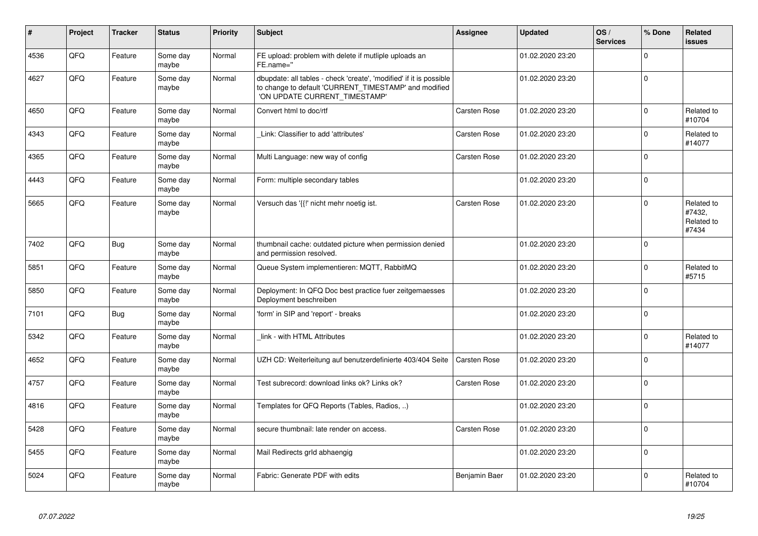| ∦    | Project | <b>Tracker</b> | <b>Status</b>     | <b>Priority</b> | <b>Subject</b>                                                                                                                                                | Assignee            | <b>Updated</b>   | OS/<br><b>Services</b> | % Done         | Related<br><b>issues</b>                    |
|------|---------|----------------|-------------------|-----------------|---------------------------------------------------------------------------------------------------------------------------------------------------------------|---------------------|------------------|------------------------|----------------|---------------------------------------------|
| 4536 | QFQ     | Feature        | Some day<br>maybe | Normal          | FE upload: problem with delete if mutliple uploads an<br>FE.name="                                                                                            |                     | 01.02.2020 23:20 |                        | 0              |                                             |
| 4627 | QFQ     | Feature        | Some day<br>maybe | Normal          | dbupdate: all tables - check 'create', 'modified' if it is possible<br>to change to default 'CURRENT_TIMESTAMP' and modified<br>'ON UPDATE CURRENT_TIMESTAMP' |                     | 01.02.2020 23:20 |                        | 0              |                                             |
| 4650 | QFQ     | Feature        | Some day<br>maybe | Normal          | Convert html to doc/rtf                                                                                                                                       | Carsten Rose        | 01.02.2020 23:20 |                        | $\Omega$       | Related to<br>#10704                        |
| 4343 | QFQ     | Feature        | Some day<br>maybe | Normal          | Link: Classifier to add 'attributes'                                                                                                                          | Carsten Rose        | 01.02.2020 23:20 |                        | 0              | Related to<br>#14077                        |
| 4365 | QFQ     | Feature        | Some day<br>maybe | Normal          | Multi Language: new way of config                                                                                                                             | Carsten Rose        | 01.02.2020 23:20 |                        | $\Omega$       |                                             |
| 4443 | QFQ     | Feature        | Some day<br>maybe | Normal          | Form: multiple secondary tables                                                                                                                               |                     | 01.02.2020 23:20 |                        | 0              |                                             |
| 5665 | QFQ     | Feature        | Some day<br>maybe | Normal          | Versuch das '{{!' nicht mehr noetig ist.                                                                                                                      | Carsten Rose        | 01.02.2020 23:20 |                        | 0              | Related to<br>#7432,<br>Related to<br>#7434 |
| 7402 | QFQ     | Bug            | Some day<br>maybe | Normal          | thumbnail cache: outdated picture when permission denied<br>and permission resolved.                                                                          |                     | 01.02.2020 23:20 |                        | $\overline{0}$ |                                             |
| 5851 | QFQ     | Feature        | Some day<br>maybe | Normal          | Queue System implementieren: MQTT, RabbitMQ                                                                                                                   |                     | 01.02.2020 23:20 |                        | $\Omega$       | Related to<br>#5715                         |
| 5850 | QFQ     | Feature        | Some day<br>maybe | Normal          | Deployment: In QFQ Doc best practice fuer zeitgemaesses<br>Deployment beschreiben                                                                             |                     | 01.02.2020 23:20 |                        | $\Omega$       |                                             |
| 7101 | QFQ     | <b>Bug</b>     | Some day<br>maybe | Normal          | 'form' in SIP and 'report' - breaks                                                                                                                           |                     | 01.02.2020 23:20 |                        | $\Omega$       |                                             |
| 5342 | QFQ     | Feature        | Some day<br>maybe | Normal          | link - with HTML Attributes                                                                                                                                   |                     | 01.02.2020 23:20 |                        | $\Omega$       | Related to<br>#14077                        |
| 4652 | QFQ     | Feature        | Some day<br>maybe | Normal          | UZH CD: Weiterleitung auf benutzerdefinierte 403/404 Seite                                                                                                    | <b>Carsten Rose</b> | 01.02.2020 23:20 |                        | $\Omega$       |                                             |
| 4757 | QFQ     | Feature        | Some day<br>maybe | Normal          | Test subrecord: download links ok? Links ok?                                                                                                                  | Carsten Rose        | 01.02.2020 23:20 |                        | $\Omega$       |                                             |
| 4816 | QFQ     | Feature        | Some day<br>maybe | Normal          | Templates for QFQ Reports (Tables, Radios, )                                                                                                                  |                     | 01.02.2020 23:20 |                        | $\overline{0}$ |                                             |
| 5428 | QFQ     | Feature        | Some day<br>maybe | Normal          | secure thumbnail: late render on access.                                                                                                                      | Carsten Rose        | 01.02.2020 23:20 |                        | $\Omega$       |                                             |
| 5455 | QFQ     | Feature        | Some day<br>maybe | Normal          | Mail Redirects grld abhaengig                                                                                                                                 |                     | 01.02.2020 23:20 |                        | 0              |                                             |
| 5024 | QFQ     | Feature        | Some day<br>maybe | Normal          | Fabric: Generate PDF with edits                                                                                                                               | Benjamin Baer       | 01.02.2020 23:20 |                        | $\Omega$       | Related to<br>#10704                        |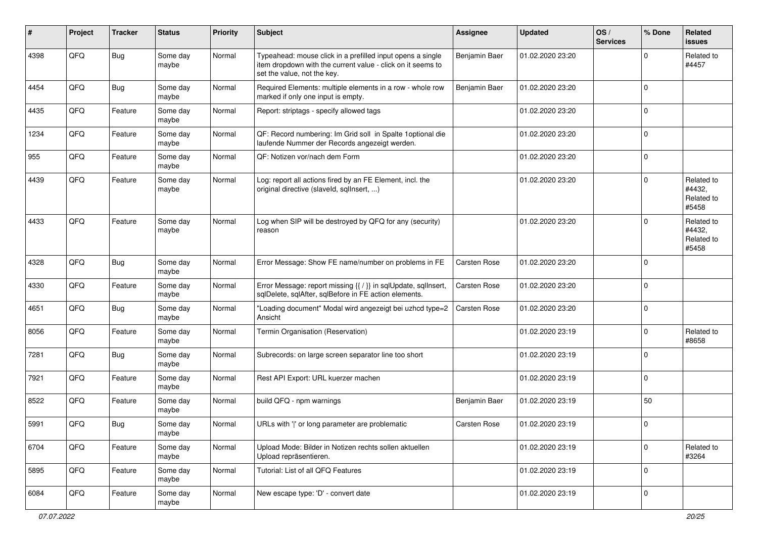| #    | Project | <b>Tracker</b> | <b>Status</b>     | <b>Priority</b> | <b>Subject</b>                                                                                                                                           | <b>Assignee</b>     | <b>Updated</b>   | OS/<br><b>Services</b> | % Done      | Related<br>issues                           |
|------|---------|----------------|-------------------|-----------------|----------------------------------------------------------------------------------------------------------------------------------------------------------|---------------------|------------------|------------------------|-------------|---------------------------------------------|
| 4398 | QFQ     | Bug            | Some day<br>maybe | Normal          | Typeahead: mouse click in a prefilled input opens a single<br>item dropdown with the current value - click on it seems to<br>set the value, not the key. | Benjamin Baer       | 01.02.2020 23:20 |                        | $\Omega$    | Related to<br>#4457                         |
| 4454 | QFQ     | <b>Bug</b>     | Some day<br>maybe | Normal          | Required Elements: multiple elements in a row - whole row<br>marked if only one input is empty.                                                          | Benjamin Baer       | 01.02.2020 23:20 |                        | $\mathbf 0$ |                                             |
| 4435 | QFQ     | Feature        | Some day<br>maybe | Normal          | Report: striptags - specify allowed tags                                                                                                                 |                     | 01.02.2020 23:20 |                        | $\mathbf 0$ |                                             |
| 1234 | QFQ     | Feature        | Some day<br>maybe | Normal          | QF: Record numbering: Im Grid soll in Spalte 1 optional die<br>laufende Nummer der Records angezeigt werden.                                             |                     | 01.02.2020 23:20 |                        | $\mathbf 0$ |                                             |
| 955  | QFQ     | Feature        | Some day<br>maybe | Normal          | QF: Notizen vor/nach dem Form                                                                                                                            |                     | 01.02.2020 23:20 |                        | 0           |                                             |
| 4439 | QFQ     | Feature        | Some day<br>maybe | Normal          | Log: report all actions fired by an FE Element, incl. the<br>original directive (slaveld, sqllnsert, )                                                   |                     | 01.02.2020 23:20 |                        | $\mathbf 0$ | Related to<br>#4432.<br>Related to<br>#5458 |
| 4433 | QFQ     | Feature        | Some day<br>maybe | Normal          | Log when SIP will be destroyed by QFQ for any (security)<br>reason                                                                                       |                     | 01.02.2020 23:20 |                        | $\mathbf 0$ | Related to<br>#4432,<br>Related to<br>#5458 |
| 4328 | QFQ     | Bug            | Some day<br>maybe | Normal          | Error Message: Show FE name/number on problems in FE                                                                                                     | Carsten Rose        | 01.02.2020 23:20 |                        | $\mathbf 0$ |                                             |
| 4330 | QFQ     | Feature        | Some day<br>maybe | Normal          | Error Message: report missing {{ / }} in sqlUpdate, sqlInsert,<br>sqlDelete, sqlAfter, sqlBefore in FE action elements.                                  | Carsten Rose        | 01.02.2020 23:20 |                        | $\mathbf 0$ |                                             |
| 4651 | QFQ     | Bug            | Some day<br>maybe | Normal          | "Loading document" Modal wird angezeigt bei uzhcd type=2<br>Ansicht                                                                                      | Carsten Rose        | 01.02.2020 23:20 |                        | $\mathbf 0$ |                                             |
| 8056 | QFQ     | Feature        | Some day<br>maybe | Normal          | Termin Organisation (Reservation)                                                                                                                        |                     | 01.02.2020 23:19 |                        | $\mathbf 0$ | Related to<br>#8658                         |
| 7281 | QFQ     | <b>Bug</b>     | Some day<br>maybe | Normal          | Subrecords: on large screen separator line too short                                                                                                     |                     | 01.02.2020 23:19 |                        | $\mathbf 0$ |                                             |
| 7921 | QFQ     | Feature        | Some day<br>maybe | Normal          | Rest API Export: URL kuerzer machen                                                                                                                      |                     | 01.02.2020 23:19 |                        | $\mathbf 0$ |                                             |
| 8522 | QFQ     | Feature        | Some day<br>maybe | Normal          | build QFQ - npm warnings                                                                                                                                 | Benjamin Baer       | 01.02.2020 23:19 |                        | 50          |                                             |
| 5991 | QFQ     | Bug            | Some day<br>maybe | Normal          | URLs with ' ' or long parameter are problematic                                                                                                          | <b>Carsten Rose</b> | 01.02.2020 23:19 |                        | $\mathbf 0$ |                                             |
| 6704 | QFQ     | Feature        | Some day<br>maybe | Normal          | Upload Mode: Bilder in Notizen rechts sollen aktuellen<br>Upload repräsentieren.                                                                         |                     | 01.02.2020 23:19 |                        | $\mathbf 0$ | Related to<br>#3264                         |
| 5895 | QFQ     | Feature        | Some day<br>maybe | Normal          | Tutorial: List of all QFQ Features                                                                                                                       |                     | 01.02.2020 23:19 |                        | $\mathbf 0$ |                                             |
| 6084 | QFQ     | Feature        | Some day<br>maybe | Normal          | New escape type: 'D' - convert date                                                                                                                      |                     | 01.02.2020 23:19 |                        | 0           |                                             |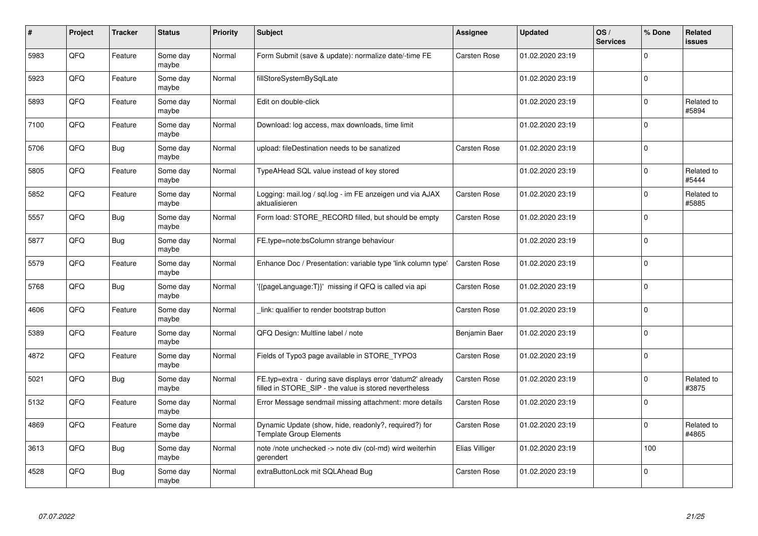| #    | Project | <b>Tracker</b> | <b>Status</b>     | <b>Priority</b> | <b>Subject</b>                                                                                                       | Assignee            | <b>Updated</b>   | OS/<br><b>Services</b> | % Done         | <b>Related</b><br><b>issues</b> |
|------|---------|----------------|-------------------|-----------------|----------------------------------------------------------------------------------------------------------------------|---------------------|------------------|------------------------|----------------|---------------------------------|
| 5983 | QFQ     | Feature        | Some day<br>maybe | Normal          | Form Submit (save & update): normalize date/-time FE                                                                 | <b>Carsten Rose</b> | 01.02.2020 23:19 |                        | $\Omega$       |                                 |
| 5923 | QFQ     | Feature        | Some day<br>maybe | Normal          | fillStoreSystemBySqlLate                                                                                             |                     | 01.02.2020 23:19 |                        | $\overline{0}$ |                                 |
| 5893 | QFQ     | Feature        | Some day<br>maybe | Normal          | Edit on double-click                                                                                                 |                     | 01.02.2020 23:19 |                        | $\mathbf 0$    | Related to<br>#5894             |
| 7100 | QFQ     | Feature        | Some day<br>maybe | Normal          | Download: log access, max downloads, time limit                                                                      |                     | 01.02.2020 23:19 |                        | $\Omega$       |                                 |
| 5706 | QFQ     | <b>Bug</b>     | Some day<br>maybe | Normal          | upload: fileDestination needs to be sanatized                                                                        | <b>Carsten Rose</b> | 01.02.2020 23:19 |                        | $\Omega$       |                                 |
| 5805 | QFQ     | Feature        | Some day<br>maybe | Normal          | TypeAHead SQL value instead of key stored                                                                            |                     | 01.02.2020 23:19 |                        | $\mathbf 0$    | Related to<br>#5444             |
| 5852 | QFQ     | Feature        | Some day<br>maybe | Normal          | Logging: mail.log / sql.log - im FE anzeigen und via AJAX<br>aktualisieren                                           | Carsten Rose        | 01.02.2020 23:19 |                        | $\Omega$       | Related to<br>#5885             |
| 5557 | QFQ     | Bug            | Some day<br>maybe | Normal          | Form load: STORE RECORD filled, but should be empty                                                                  | Carsten Rose        | 01.02.2020 23:19 |                        | $\Omega$       |                                 |
| 5877 | QFQ     | Bug            | Some day<br>maybe | Normal          | FE.type=note:bsColumn strange behaviour                                                                              |                     | 01.02.2020 23:19 |                        | $\Omega$       |                                 |
| 5579 | QFQ     | Feature        | Some day<br>maybe | Normal          | Enhance Doc / Presentation: variable type 'link column type'                                                         | Carsten Rose        | 01.02.2020 23:19 |                        | $\mathbf 0$    |                                 |
| 5768 | QFQ     | Bug            | Some day<br>maybe | Normal          | {{pageLanguage:T}}' missing if QFQ is called via api                                                                 | Carsten Rose        | 01.02.2020 23:19 |                        | $\mathbf 0$    |                                 |
| 4606 | QFQ     | Feature        | Some day<br>maybe | Normal          | link: qualifier to render bootstrap button                                                                           | Carsten Rose        | 01.02.2020 23:19 |                        | $\Omega$       |                                 |
| 5389 | QFQ     | Feature        | Some day<br>maybe | Normal          | QFQ Design: Multline label / note                                                                                    | Benjamin Baer       | 01.02.2020 23:19 |                        | $\mathbf 0$    |                                 |
| 4872 | QFQ     | Feature        | Some day<br>maybe | Normal          | Fields of Typo3 page available in STORE_TYPO3                                                                        | Carsten Rose        | 01.02.2020 23:19 |                        | $\Omega$       |                                 |
| 5021 | QFQ     | Bug            | Some day<br>maybe | Normal          | FE.typ=extra - during save displays error 'datum2' already<br>filled in STORE_SIP - the value is stored nevertheless | Carsten Rose        | 01.02.2020 23:19 |                        | $\mathbf 0$    | Related to<br>#3875             |
| 5132 | QFQ     | Feature        | Some day<br>maybe | Normal          | Error Message sendmail missing attachment: more details                                                              | Carsten Rose        | 01.02.2020 23:19 |                        | $\mathbf 0$    |                                 |
| 4869 | QFQ     | Feature        | Some day<br>maybe | Normal          | Dynamic Update (show, hide, readonly?, required?) for<br><b>Template Group Elements</b>                              | Carsten Rose        | 01.02.2020 23:19 |                        | $\mathbf 0$    | Related to<br>#4865             |
| 3613 | QFQ     | Bug            | Some day<br>maybe | Normal          | note /note unchecked -> note div (col-md) wird weiterhin<br>gerendert                                                | Elias Villiger      | 01.02.2020 23:19 |                        | 100            |                                 |
| 4528 | QFQ     | Bug            | Some day<br>maybe | Normal          | extraButtonLock mit SQLAhead Bug                                                                                     | Carsten Rose        | 01.02.2020 23:19 |                        | $\Omega$       |                                 |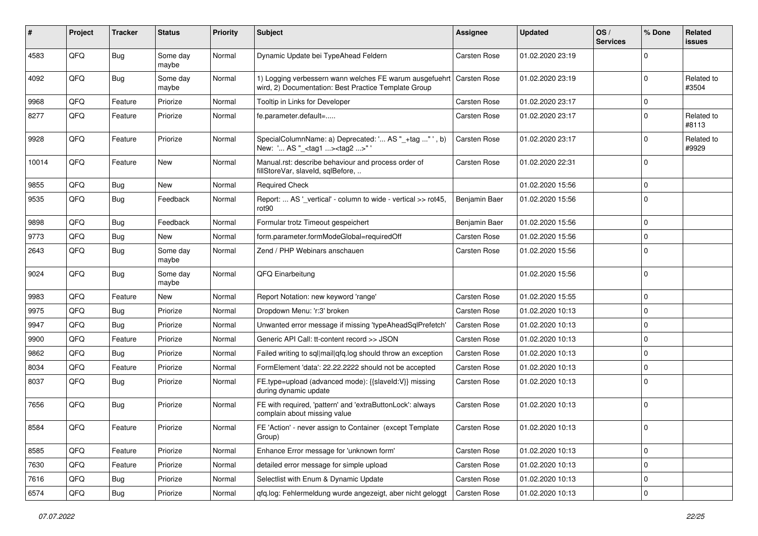| #     | Project | <b>Tracker</b> | <b>Status</b>     | <b>Priority</b> | Subject                                                                                                                      | <b>Assignee</b>     | <b>Updated</b>   | OS/<br><b>Services</b> | % Done      | Related<br><b>issues</b> |
|-------|---------|----------------|-------------------|-----------------|------------------------------------------------------------------------------------------------------------------------------|---------------------|------------------|------------------------|-------------|--------------------------|
| 4583  | QFQ     | Bug            | Some day<br>maybe | Normal          | Dynamic Update bei TypeAhead Feldern                                                                                         | Carsten Rose        | 01.02.2020 23:19 |                        | $\Omega$    |                          |
| 4092  | QFQ     | Bug            | Some day<br>maybe | Normal          | 1) Logging verbessern wann welches FE warum ausgefuehrt Carsten Rose<br>wird, 2) Documentation: Best Practice Template Group |                     | 01.02.2020 23:19 |                        | $\Omega$    | Related to<br>#3504      |
| 9968  | QFQ     | Feature        | Priorize          | Normal          | Tooltip in Links for Developer                                                                                               | Carsten Rose        | 01.02.2020 23:17 |                        | $\mathbf 0$ |                          |
| 8277  | QFQ     | Feature        | Priorize          | Normal          | fe.parameter.default=                                                                                                        | Carsten Rose        | 01.02.2020 23:17 |                        | $\Omega$    | Related to<br>#8113      |
| 9928  | QFQ     | Feature        | Priorize          | Normal          | SpecialColumnName: a) Deprecated: ' AS "_+tag " ', b)<br>New: ' AS "_ <tag1><tag2>"</tag2></tag1>                            | Carsten Rose        | 01.02.2020 23:17 |                        | $\Omega$    | Related to<br>#9929      |
| 10014 | QFQ     | Feature        | <b>New</b>        | Normal          | Manual.rst: describe behaviour and process order of<br>fillStoreVar, slaveId, sqlBefore,                                     | <b>Carsten Rose</b> | 01.02.2020 22:31 |                        | $\mathbf 0$ |                          |
| 9855  | QFQ     | <b>Bug</b>     | <b>New</b>        | Normal          | <b>Required Check</b>                                                                                                        |                     | 01.02.2020 15:56 |                        | $\mathbf 0$ |                          |
| 9535  | QFQ     | <b>Bug</b>     | Feedback          | Normal          | Report:  AS ' vertical' - column to wide - vertical >> rot45,<br>rot90                                                       | Benjamin Baer       | 01.02.2020 15:56 |                        | $\mathbf 0$ |                          |
| 9898  | QFQ     | <b>Bug</b>     | Feedback          | Normal          | Formular trotz Timeout gespeichert                                                                                           | Benjamin Baer       | 01.02.2020 15:56 |                        | $\mathbf 0$ |                          |
| 9773  | QFQ     | Bug            | <b>New</b>        | Normal          | form.parameter.formModeGlobal=requiredOff                                                                                    | Carsten Rose        | 01.02.2020 15:56 |                        | $\mathbf 0$ |                          |
| 2643  | QFQ     | Bug            | Some day<br>maybe | Normal          | Zend / PHP Webinars anschauen                                                                                                | Carsten Rose        | 01.02.2020 15:56 |                        | $\mathbf 0$ |                          |
| 9024  | QFQ     | Bug            | Some day<br>maybe | Normal          | QFQ Einarbeitung                                                                                                             |                     | 01.02.2020 15:56 |                        | $\Omega$    |                          |
| 9983  | QFQ     | Feature        | New               | Normal          | Report Notation: new keyword 'range'                                                                                         | <b>Carsten Rose</b> | 01.02.2020 15:55 |                        | $\mathbf 0$ |                          |
| 9975  | QFQ     | <b>Bug</b>     | Priorize          | Normal          | Dropdown Menu: 'r:3' broken                                                                                                  | Carsten Rose        | 01.02.2020 10:13 |                        | $\Omega$    |                          |
| 9947  | QFQ     | Bug            | Priorize          | Normal          | Unwanted error message if missing 'typeAheadSqlPrefetch'                                                                     | Carsten Rose        | 01.02.2020 10:13 |                        | $\mathbf 0$ |                          |
| 9900  | QFQ     | Feature        | Priorize          | Normal          | Generic API Call: tt-content record >> JSON                                                                                  | Carsten Rose        | 01.02.2020 10:13 |                        | $\mathbf 0$ |                          |
| 9862  | QFQ     | <b>Bug</b>     | Priorize          | Normal          | Failed writing to sql mail qfq.log should throw an exception                                                                 | Carsten Rose        | 01.02.2020 10:13 |                        | $\mathbf 0$ |                          |
| 8034  | QFQ     | Feature        | Priorize          | Normal          | FormElement 'data': 22.22.2222 should not be accepted                                                                        | <b>Carsten Rose</b> | 01.02.2020 10:13 |                        | $\mathbf 0$ |                          |
| 8037  | QFQ     | Bug            | Priorize          | Normal          | FE.type=upload (advanced mode): {{slaveld:V}} missing<br>during dynamic update                                               | Carsten Rose        | 01.02.2020 10:13 |                        | $\Omega$    |                          |
| 7656  | QFQ     | <b>Bug</b>     | Priorize          | Normal          | FE with required, 'pattern' and 'extraButtonLock': always<br>complain about missing value                                    | Carsten Rose        | 01.02.2020 10:13 |                        | $\mathbf 0$ |                          |
| 8584  | QFG     | Feature        | Priorize          | Normal          | FE 'Action' - never assign to Container (except Template<br>Group)                                                           | Carsten Rose        | 01.02.2020 10:13 |                        | $\Omega$    |                          |
| 8585  | QFQ     | Feature        | Priorize          | Normal          | Enhance Error message for 'unknown form'                                                                                     | Carsten Rose        | 01.02.2020 10:13 |                        | 0           |                          |
| 7630  | QFQ     | Feature        | Priorize          | Normal          | detailed error message for simple upload                                                                                     | Carsten Rose        | 01.02.2020 10:13 |                        | 0           |                          |
| 7616  | QFQ     | <b>Bug</b>     | Priorize          | Normal          | Selectlist with Enum & Dynamic Update                                                                                        | Carsten Rose        | 01.02.2020 10:13 |                        | $\mathbf 0$ |                          |
| 6574  | QFO     | <b>Bug</b>     | Priorize          | Normal          | qfq.log: Fehlermeldung wurde angezeigt, aber nicht geloggt                                                                   | Carsten Rose        | 01.02.2020 10:13 |                        | $\mathbf 0$ |                          |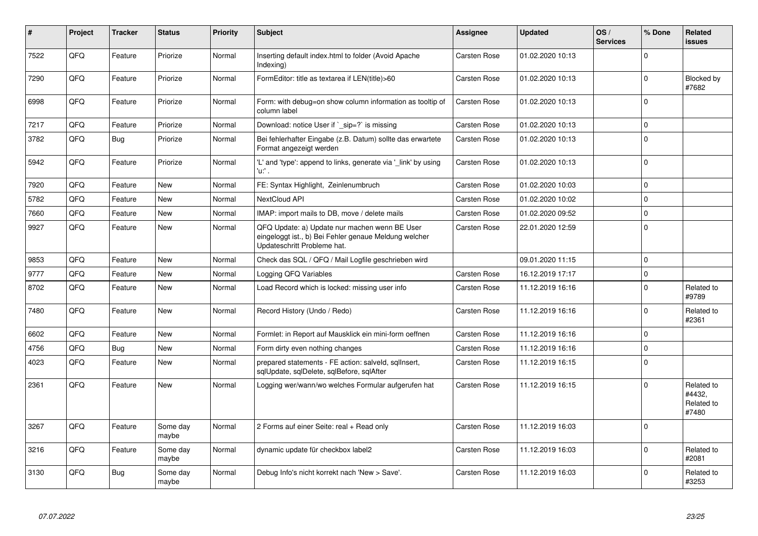| ∦    | Project | <b>Tracker</b> | <b>Status</b>     | <b>Priority</b> | <b>Subject</b>                                                                                                                        | Assignee            | <b>Updated</b>   | OS/<br><b>Services</b> | % Done         | <b>Related</b><br><b>issues</b>             |
|------|---------|----------------|-------------------|-----------------|---------------------------------------------------------------------------------------------------------------------------------------|---------------------|------------------|------------------------|----------------|---------------------------------------------|
| 7522 | QFQ     | Feature        | Priorize          | Normal          | Inserting default index.html to folder (Avoid Apache<br>Indexing)                                                                     | <b>Carsten Rose</b> | 01.02.2020 10:13 |                        | $\Omega$       |                                             |
| 7290 | QFQ     | Feature        | Priorize          | Normal          | FormEditor: title as textarea if LEN(title)>60                                                                                        | Carsten Rose        | 01.02.2020 10:13 |                        | $\Omega$       | Blocked by<br>#7682                         |
| 6998 | QFQ     | Feature        | Priorize          | Normal          | Form: with debug=on show column information as tooltip of<br>column label                                                             | <b>Carsten Rose</b> | 01.02.2020 10:13 |                        | $\Omega$       |                                             |
| 7217 | QFQ     | Feature        | Priorize          | Normal          | Download: notice User if ` sip=?` is missing                                                                                          | Carsten Rose        | 01.02.2020 10:13 |                        | 0              |                                             |
| 3782 | QFQ     | Bug            | Priorize          | Normal          | Bei fehlerhafter Eingabe (z.B. Datum) sollte das erwartete<br>Format angezeigt werden                                                 | Carsten Rose        | 01.02.2020 10:13 |                        | $\Omega$       |                                             |
| 5942 | QFQ     | Feature        | Priorize          | Normal          | 'L' and 'type': append to links, generate via 'link' by using<br>'nΛ.                                                                 | Carsten Rose        | 01.02.2020 10:13 |                        | $\overline{0}$ |                                             |
| 7920 | QFQ     | Feature        | <b>New</b>        | Normal          | FE: Syntax Highlight, Zeinlenumbruch                                                                                                  | Carsten Rose        | 01.02.2020 10:03 |                        | 0              |                                             |
| 5782 | QFQ     | Feature        | <b>New</b>        | Normal          | NextCloud API                                                                                                                         | Carsten Rose        | 01.02.2020 10:02 |                        | $\Omega$       |                                             |
| 7660 | QFQ     | Feature        | <b>New</b>        | Normal          | IMAP: import mails to DB, move / delete mails                                                                                         | <b>Carsten Rose</b> | 01.02.2020 09:52 |                        | $\Omega$       |                                             |
| 9927 | QFQ     | Feature        | <b>New</b>        | Normal          | QFQ Update: a) Update nur machen wenn BE User<br>eingeloggt ist., b) Bei Fehler genaue Meldung welcher<br>Updateschritt Probleme hat. | Carsten Rose        | 22.01.2020 12:59 |                        | $\Omega$       |                                             |
| 9853 | QFQ     | Feature        | <b>New</b>        | Normal          | Check das SQL / QFQ / Mail Logfile geschrieben wird                                                                                   |                     | 09.01.2020 11:15 |                        | $\Omega$       |                                             |
| 9777 | QFQ     | Feature        | <b>New</b>        | Normal          | Logging QFQ Variables                                                                                                                 | Carsten Rose        | 16.12.2019 17:17 |                        | $\Omega$       |                                             |
| 8702 | QFQ     | Feature        | <b>New</b>        | Normal          | Load Record which is locked: missing user info                                                                                        | Carsten Rose        | 11.12.2019 16:16 |                        | $\Omega$       | Related to<br>#9789                         |
| 7480 | QFQ     | Feature        | <b>New</b>        | Normal          | Record History (Undo / Redo)                                                                                                          | Carsten Rose        | 11.12.2019 16:16 |                        | $\Omega$       | Related to<br>#2361                         |
| 6602 | QFQ     | Feature        | <b>New</b>        | Normal          | Formlet: in Report auf Mausklick ein mini-form oeffnen                                                                                | Carsten Rose        | 11.12.2019 16:16 |                        | $\Omega$       |                                             |
| 4756 | QFQ     | Bug            | <b>New</b>        | Normal          | Form dirty even nothing changes                                                                                                       | Carsten Rose        | 11.12.2019 16:16 |                        | $\overline{0}$ |                                             |
| 4023 | QFQ     | Feature        | <b>New</b>        | Normal          | prepared statements - FE action: salveld, sglInsert,<br>sqlUpdate, sqlDelete, sqlBefore, sqlAfter                                     | Carsten Rose        | 11.12.2019 16:15 |                        | $\Omega$       |                                             |
| 2361 | QFQ     | Feature        | <b>New</b>        | Normal          | Logging wer/wann/wo welches Formular aufgerufen hat                                                                                   | Carsten Rose        | 11.12.2019 16:15 |                        | $\Omega$       | Related to<br>#4432,<br>Related to<br>#7480 |
| 3267 | QFQ     | Feature        | Some day<br>maybe | Normal          | 2 Forms auf einer Seite: real + Read only                                                                                             | Carsten Rose        | 11.12.2019 16:03 |                        | 0              |                                             |
| 3216 | QFQ     | Feature        | Some day<br>maybe | Normal          | dynamic update für checkbox label2                                                                                                    | Carsten Rose        | 11.12.2019 16:03 |                        | 0              | Related to<br>#2081                         |
| 3130 | QFQ     | <b>Bug</b>     | Some day<br>maybe | Normal          | Debug Info's nicht korrekt nach 'New > Save'.                                                                                         | Carsten Rose        | 11.12.2019 16:03 |                        | $\Omega$       | Related to<br>#3253                         |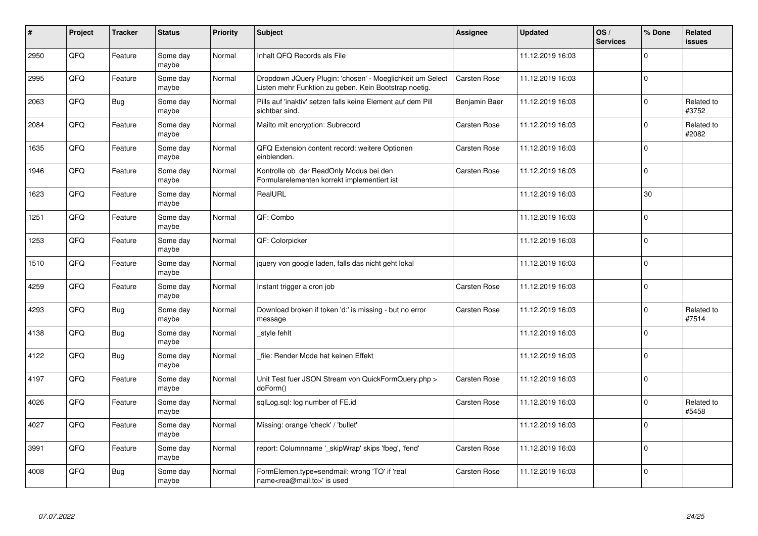| #    | Project | <b>Tracker</b> | <b>Status</b>     | <b>Priority</b> | <b>Subject</b>                                                                                                     | Assignee      | <b>Updated</b>   | OS/<br><b>Services</b> | % Done         | Related<br><b>issues</b> |
|------|---------|----------------|-------------------|-----------------|--------------------------------------------------------------------------------------------------------------------|---------------|------------------|------------------------|----------------|--------------------------|
| 2950 | QFQ     | Feature        | Some day<br>maybe | Normal          | Inhalt QFQ Records als File                                                                                        |               | 11.12.2019 16:03 |                        | $\Omega$       |                          |
| 2995 | QFQ     | Feature        | Some day<br>maybe | Normal          | Dropdown JQuery Plugin: 'chosen' - Moeglichkeit um Select<br>Listen mehr Funktion zu geben. Kein Bootstrap noetig. | Carsten Rose  | 11.12.2019 16:03 |                        | 0              |                          |
| 2063 | QFQ     | <b>Bug</b>     | Some day<br>maybe | Normal          | Pills auf 'inaktiv' setzen falls keine Element auf dem Pill<br>sichtbar sind.                                      | Benjamin Baer | 11.12.2019 16:03 |                        | $\Omega$       | Related to<br>#3752      |
| 2084 | QFQ     | Feature        | Some day<br>maybe | Normal          | Mailto mit encryption: Subrecord                                                                                   | Carsten Rose  | 11.12.2019 16:03 |                        | $\Omega$       | Related to<br>#2082      |
| 1635 | QFQ     | Feature        | Some day<br>maybe | Normal          | QFQ Extension content record: weitere Optionen<br>einblenden.                                                      | Carsten Rose  | 11.12.2019 16:03 |                        | $\mathbf 0$    |                          |
| 1946 | QFQ     | Feature        | Some day<br>maybe | Normal          | Kontrolle ob der ReadOnly Modus bei den<br>Formularelementen korrekt implementiert ist                             | Carsten Rose  | 11.12.2019 16:03 |                        | $\Omega$       |                          |
| 1623 | QFQ     | Feature        | Some day<br>maybe | Normal          | RealURL                                                                                                            |               | 11.12.2019 16:03 |                        | 30             |                          |
| 1251 | QFQ     | Feature        | Some day<br>maybe | Normal          | QF: Combo                                                                                                          |               | 11.12.2019 16:03 |                        | 0              |                          |
| 1253 | QFQ     | Feature        | Some day<br>maybe | Normal          | QF: Colorpicker                                                                                                    |               | 11.12.2019 16:03 |                        | $\Omega$       |                          |
| 1510 | QFQ     | Feature        | Some day<br>maybe | Normal          | jquery von google laden, falls das nicht geht lokal                                                                |               | 11.12.2019 16:03 |                        | $\mathbf 0$    |                          |
| 4259 | QFQ     | Feature        | Some day<br>maybe | Normal          | Instant trigger a cron job                                                                                         | Carsten Rose  | 11.12.2019 16:03 |                        | $\mathbf 0$    |                          |
| 4293 | QFQ     | Bug            | Some day<br>maybe | Normal          | Download broken if token 'd:' is missing - but no error<br>message                                                 | Carsten Rose  | 11.12.2019 16:03 |                        | $\Omega$       | Related to<br>#7514      |
| 4138 | QFQ     | Bug            | Some day<br>maybe | Normal          | style fehlt                                                                                                        |               | 11.12.2019 16:03 |                        | $\Omega$       |                          |
| 4122 | QFQ     | Bug            | Some day<br>maybe | Normal          | file: Render Mode hat keinen Effekt                                                                                |               | 11.12.2019 16:03 |                        | 0              |                          |
| 4197 | QFQ     | Feature        | Some day<br>maybe | Normal          | Unit Test fuer JSON Stream von QuickFormQuery.php ><br>doForm()                                                    | Carsten Rose  | 11.12.2019 16:03 |                        | $\Omega$       |                          |
| 4026 | QFQ     | Feature        | Some day<br>maybe | Normal          | sqlLog.sql: log number of FE.id                                                                                    | Carsten Rose  | 11.12.2019 16:03 |                        | $\Omega$       | Related to<br>#5458      |
| 4027 | QFQ     | Feature        | Some day<br>maybe | Normal          | Missing: orange 'check' / 'bullet'                                                                                 |               | 11.12.2019 16:03 |                        | $\overline{0}$ |                          |
| 3991 | QFQ     | Feature        | Some day<br>maybe | Normal          | report: Columnname '_skipWrap' skips 'fbeg', 'fend'                                                                | Carsten Rose  | 11.12.2019 16:03 |                        | $\Omega$       |                          |
| 4008 | QFQ     | Bug            | Some day<br>maybe | Normal          | FormElemen.type=sendmail: wrong 'TO' if 'real<br>name <rea@mail.to>' is used</rea@mail.to>                         | Carsten Rose  | 11.12.2019 16:03 |                        | $\Omega$       |                          |